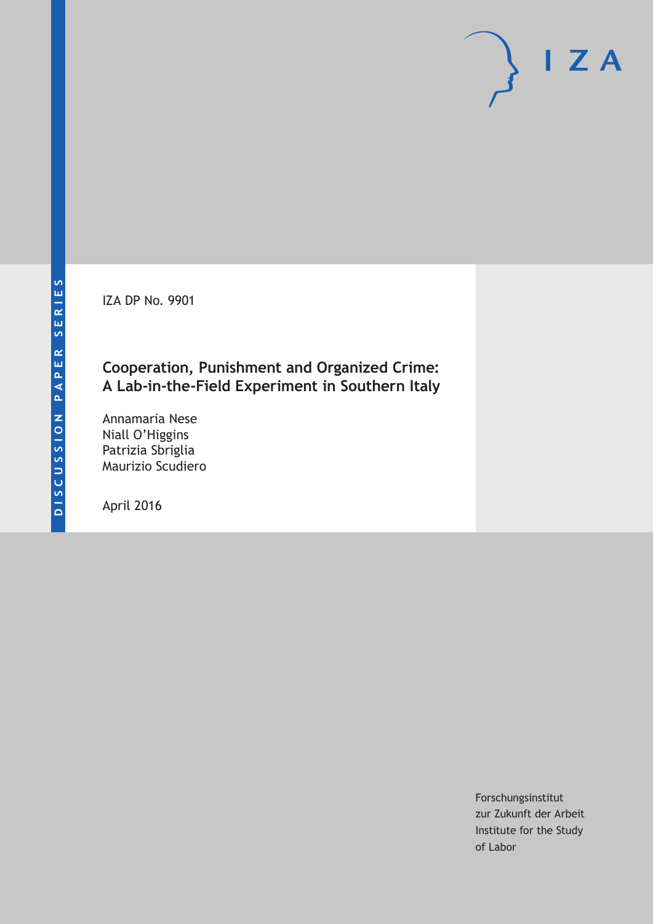IZA DP No. 9901

# **Cooperation, Punishment and Organized Crime: A Lab‐in‐the‐Field Experiment in Southern Italy**

Annamaria Nese Niall O'Higgins Patrizia Sbriglia Maurizio Scudiero

April 2016

Forschungsinstitut zur Zukunft der Arbeit Institute for the Study of Labor

 $I Z A$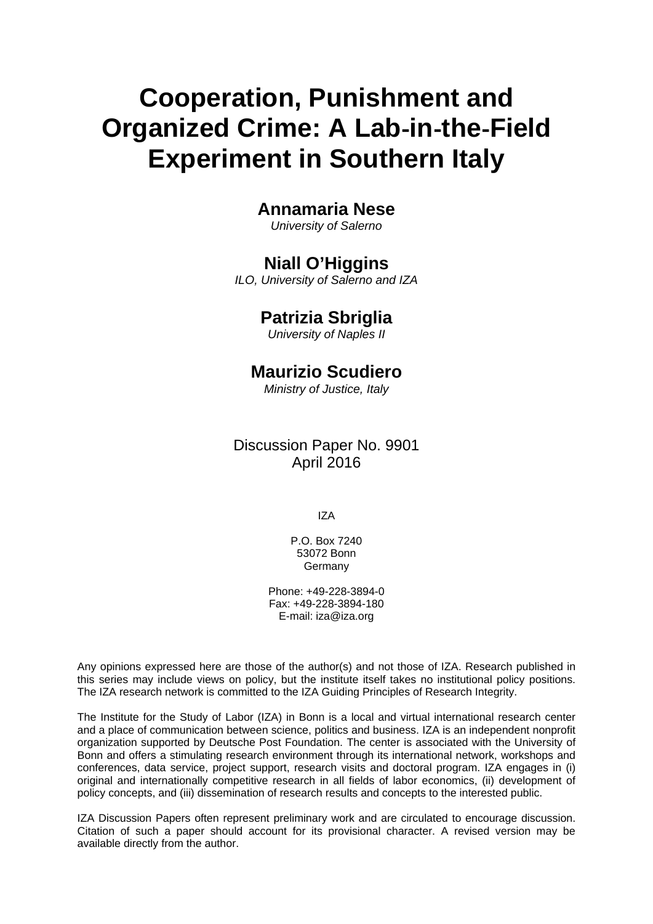# **Cooperation, Punishment and Organized Crime: A Lab**‐**in**‐**the**‐**Field Experiment in Southern Italy**

## **Annamaria Nese**

*University of Salerno* 

# **Niall O'Higgins**

*ILO, University of Salerno and IZA* 

# **Patrizia Sbriglia**

*University of Naples II*

# **Maurizio Scudiero**

*Ministry of Justice, Italy* 

Discussion Paper No. 9901 April 2016

IZA

P.O. Box 7240 53072 Bonn Germany

Phone: +49-228-3894-0 Fax: +49-228-3894-180 E-mail: iza@iza.org

Any opinions expressed here are those of the author(s) and not those of IZA. Research published in this series may include views on policy, but the institute itself takes no institutional policy positions. The IZA research network is committed to the IZA Guiding Principles of Research Integrity.

The Institute for the Study of Labor (IZA) in Bonn is a local and virtual international research center and a place of communication between science, politics and business. IZA is an independent nonprofit organization supported by Deutsche Post Foundation. The center is associated with the University of Bonn and offers a stimulating research environment through its international network, workshops and conferences, data service, project support, research visits and doctoral program. IZA engages in (i) original and internationally competitive research in all fields of labor economics, (ii) development of policy concepts, and (iii) dissemination of research results and concepts to the interested public.

IZA Discussion Papers often represent preliminary work and are circulated to encourage discussion. Citation of such a paper should account for its provisional character. A revised version may be available directly from the author.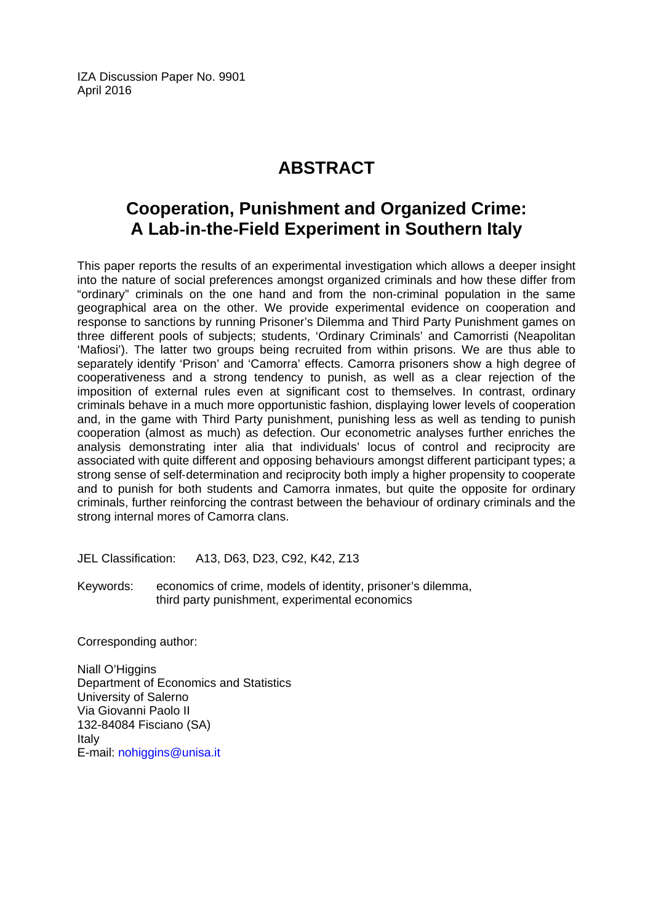IZA Discussion Paper No. 9901 April 2016

# **ABSTRACT**

# **Cooperation, Punishment and Organized Crime: A Lab**‐**in**‐**the**‐**Field Experiment in Southern Italy**

This paper reports the results of an experimental investigation which allows a deeper insight into the nature of social preferences amongst organized criminals and how these differ from "ordinary" criminals on the one hand and from the non‐criminal population in the same geographical area on the other. We provide experimental evidence on cooperation and response to sanctions by running Prisoner's Dilemma and Third Party Punishment games on three different pools of subjects; students, 'Ordinary Criminals' and Camorristi (Neapolitan 'Mafiosi'). The latter two groups being recruited from within prisons. We are thus able to separately identify 'Prison' and 'Camorra' effects. Camorra prisoners show a high degree of cooperativeness and a strong tendency to punish, as well as a clear rejection of the imposition of external rules even at significant cost to themselves. In contrast, ordinary criminals behave in a much more opportunistic fashion, displaying lower levels of cooperation and, in the game with Third Party punishment, punishing less as well as tending to punish cooperation (almost as much) as defection. Our econometric analyses further enriches the analysis demonstrating inter alia that individuals' locus of control and reciprocity are associated with quite different and opposing behaviours amongst different participant types; a strong sense of self‐determination and reciprocity both imply a higher propensity to cooperate and to punish for both students and Camorra inmates, but quite the opposite for ordinary criminals, further reinforcing the contrast between the behaviour of ordinary criminals and the strong internal mores of Camorra clans.

JEL Classification: A13, D63, D23, C92, K42, Z13

Keywords: economics of crime, models of identity, prisoner's dilemma, third party punishment, experimental economics

Corresponding author:

Niall O'Higgins Department of Economics and Statistics University of Salerno Via Giovanni Paolo II 132-84084 Fisciano (SA) Italy E-mail: nohiggins@unisa.it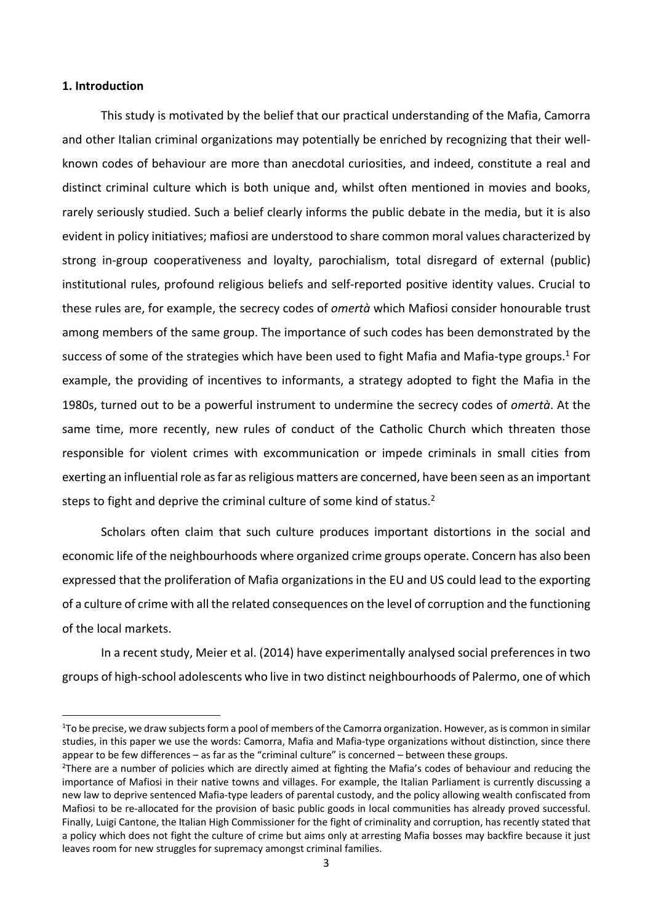### **1. Introduction**

This study is motivated by the belief that our practical understanding of the Mafia, Camorra and other Italian criminal organizations may potentially be enriched by recognizing that their wellknown codes of behaviour are more than anecdotal curiosities, and indeed, constitute a real and distinct criminal culture which is both unique and, whilst often mentioned in movies and books, rarely seriously studied. Such a belief clearly informs the public debate in the media, but it is also evident in policy initiatives; mafiosi are understood to share common moral values characterized by strong in‐group cooperativeness and loyalty, parochialism, total disregard of external (public) institutional rules, profound religious beliefs and self‐reported positive identity values. Crucial to these rules are, for example, the secrecy codes of *omertà* which Mafiosi consider honourable trust among members of the same group. The importance of such codes has been demonstrated by the success of some of the strategies which have been used to fight Mafia and Mafia-type groups.<sup>1</sup> For example, the providing of incentives to informants, a strategy adopted to fight the Mafia in the 1980s, turned out to be a powerful instrument to undermine the secrecy codes of *omertà*. At the same time, more recently, new rules of conduct of the Catholic Church which threaten those responsible for violent crimes with excommunication or impede criminals in small cities from exerting an influential role asfar asreligious matters are concerned, have been seen as an important steps to fight and deprive the criminal culture of some kind of status.<sup>2</sup>

Scholars often claim that such culture produces important distortions in the social and economic life of the neighbourhoods where organized crime groups operate. Concern has also been expressed that the proliferation of Mafia organizations in the EU and US could lead to the exporting of a culture of crime with all the related consequences on the level of corruption and the functioning of the local markets.

In a recent study, Meier et al. (2014) have experimentally analysed social preferences in two groups of high‐school adolescents who live in two distinct neighbourhoods of Palermo, one of which

 $^{1}$ To be precise, we draw subjects form a pool of members of the Camorra organization. However, as is common in similar studies, in this paper we use the words: Camorra, Mafia and Mafia‐type organizations without distinction, since there appear to be few differences – as far as the "criminal culture" is concerned – between these groups.

<sup>&</sup>lt;sup>2</sup>There are a number of policies which are directly aimed at fighting the Mafia's codes of behaviour and reducing the importance of Mafiosi in their native towns and villages. For example, the Italian Parliament is currently discussing a new law to deprive sentenced Mafia‐type leaders of parental custody, and the policy allowing wealth confiscated from Mafiosi to be re-allocated for the provision of basic public goods in local communities has already proved successful. Finally, Luigi Cantone, the Italian High Commissioner for the fight of criminality and corruption, has recently stated that a policy which does not fight the culture of crime but aims only at arresting Mafia bosses may backfire because it just leaves room for new struggles for supremacy amongst criminal families.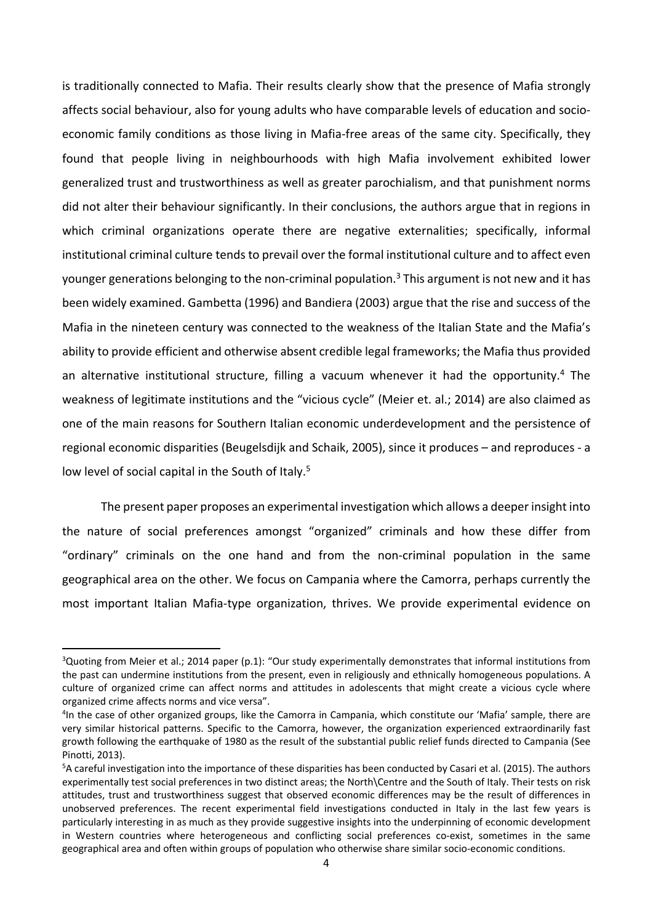is traditionally connected to Mafia. Their results clearly show that the presence of Mafia strongly affects social behaviour, also for young adults who have comparable levels of education and socio‐ economic family conditions as those living in Mafia‐free areas of the same city. Specifically, they found that people living in neighbourhoods with high Mafia involvement exhibited lower generalized trust and trustworthiness as well as greater parochialism, and that punishment norms did not alter their behaviour significantly. In their conclusions, the authors argue that in regions in which criminal organizations operate there are negative externalities; specifically, informal institutional criminal culture tends to prevail over the formal institutional culture and to affect even younger generations belonging to the non-criminal population.<sup>3</sup> This argument is not new and it has been widely examined. Gambetta (1996) and Bandiera (2003) argue that the rise and success of the Mafia in the nineteen century was connected to the weakness of the Italian State and the Mafia's ability to provide efficient and otherwise absent credible legal frameworks; the Mafia thus provided an alternative institutional structure, filling a vacuum whenever it had the opportunity.<sup>4</sup> The weakness of legitimate institutions and the "vicious cycle" (Meier et. al.; 2014) are also claimed as one of the main reasons for Southern Italian economic underdevelopment and the persistence of regional economic disparities (Beugelsdijk and Schaik, 2005), since it produces – and reproduces ‐ a low level of social capital in the South of Italy.<sup>5</sup>

The present paper proposes an experimental investigation which allows a deeper insight into the nature of social preferences amongst "organized" criminals and how these differ from "ordinary" criminals on the one hand and from the non‐criminal population in the same geographical area on the other. We focus on Campania where the Camorra, perhaps currently the most important Italian Mafia‐type organization, thrives. We provide experimental evidence on

<sup>3</sup> Quoting from Meier et al.; 2014 paper (p.1): "Our study experimentally demonstrates that informal institutions from the past can undermine institutions from the present, even in religiously and ethnically homogeneous populations. A culture of organized crime can affect norms and attitudes in adolescents that might create a vicious cycle where organized crime affects norms and vice versa".

<sup>4</sup> In the case of other organized groups, like the Camorra in Campania, which constitute our 'Mafia' sample, there are very similar historical patterns. Specific to the Camorra, however, the organization experienced extraordinarily fast growth following the earthquake of 1980 as the result of the substantial public relief funds directed to Campania (See Pinotti, 2013).

<sup>&</sup>lt;sup>5</sup>A careful investigation into the importance of these disparities has been conducted by Casari et al. (2015). The authors experimentally test social preferences in two distinct areas; the North\Centre and the South of Italy. Their tests on risk attitudes, trust and trustworthiness suggest that observed economic differences may be the result of differences in unobserved preferences. The recent experimental field investigations conducted in Italy in the last few years is particularly interesting in as much as they provide suggestive insights into the underpinning of economic development in Western countries where heterogeneous and conflicting social preferences co-exist, sometimes in the same geographical area and often within groups of population who otherwise share similar socio‐economic conditions.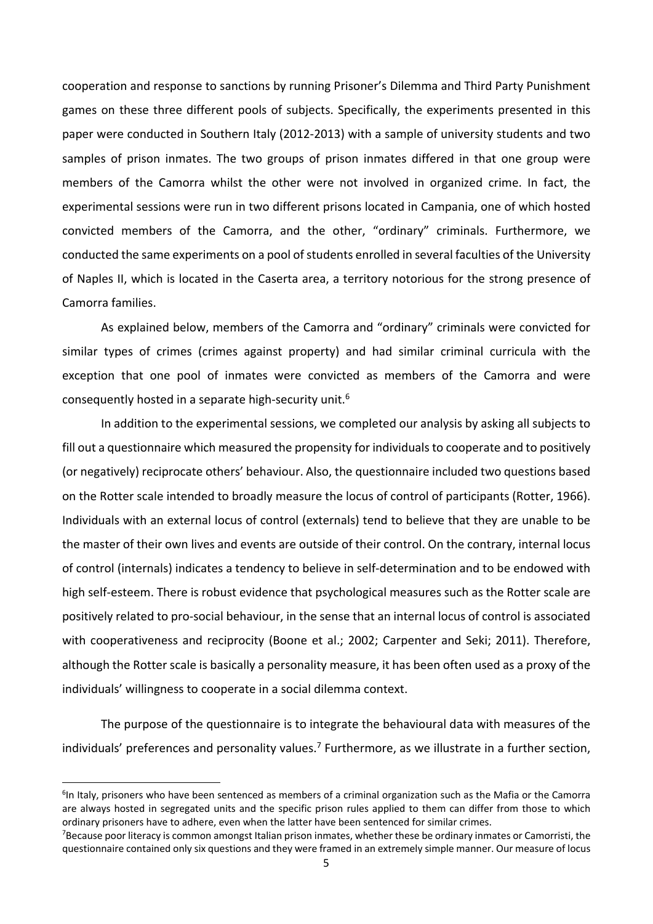cooperation and response to sanctions by running Prisoner's Dilemma and Third Party Punishment games on these three different pools of subjects. Specifically, the experiments presented in this paper were conducted in Southern Italy (2012‐2013) with a sample of university students and two samples of prison inmates. The two groups of prison inmates differed in that one group were members of the Camorra whilst the other were not involved in organized crime. In fact, the experimental sessions were run in two different prisons located in Campania, one of which hosted convicted members of the Camorra, and the other, "ordinary" criminals. Furthermore, we conducted the same experiments on a pool of students enrolled in several faculties of the University of Naples II, which is located in the Caserta area, a territory notorious for the strong presence of Camorra families.

As explained below, members of the Camorra and "ordinary" criminals were convicted for similar types of crimes (crimes against property) and had similar criminal curricula with the exception that one pool of inmates were convicted as members of the Camorra and were consequently hosted in a separate high‐security unit.6

In addition to the experimental sessions, we completed our analysis by asking all subjects to fill out a questionnaire which measured the propensity for individuals to cooperate and to positively (or negatively) reciprocate others' behaviour. Also, the questionnaire included two questions based on the Rotter scale intended to broadly measure the locus of control of participants (Rotter, 1966). Individuals with an external locus of control (externals) tend to believe that they are unable to be the master of their own lives and events are outside of their control. On the contrary, internal locus of control (internals) indicates a tendency to believe in self‐determination and to be endowed with high self-esteem. There is robust evidence that psychological measures such as the Rotter scale are positively related to pro‐social behaviour, in the sense that an internal locus of control is associated with cooperativeness and reciprocity (Boone et al.; 2002; Carpenter and Seki; 2011). Therefore, although the Rotter scale is basically a personality measure, it has been often used as a proxy of the individuals' willingness to cooperate in a social dilemma context.

The purpose of the questionnaire is to integrate the behavioural data with measures of the individuals' preferences and personality values.<sup>7</sup> Furthermore, as we illustrate in a further section,

<sup>&</sup>lt;sup>6</sup>In Italy, prisoners who have been sentenced as members of a criminal organization such as the Mafia or the Camorra are always hosted in segregated units and the specific prison rules applied to them can differ from those to which ordinary prisoners have to adhere, even when the latter have been sentenced for similar crimes.

<sup>&</sup>lt;sup>7</sup>Because poor literacy is common amongst Italian prison inmates, whether these be ordinary inmates or Camorristi, the questionnaire contained only six questions and they were framed in an extremely simple manner. Our measure of locus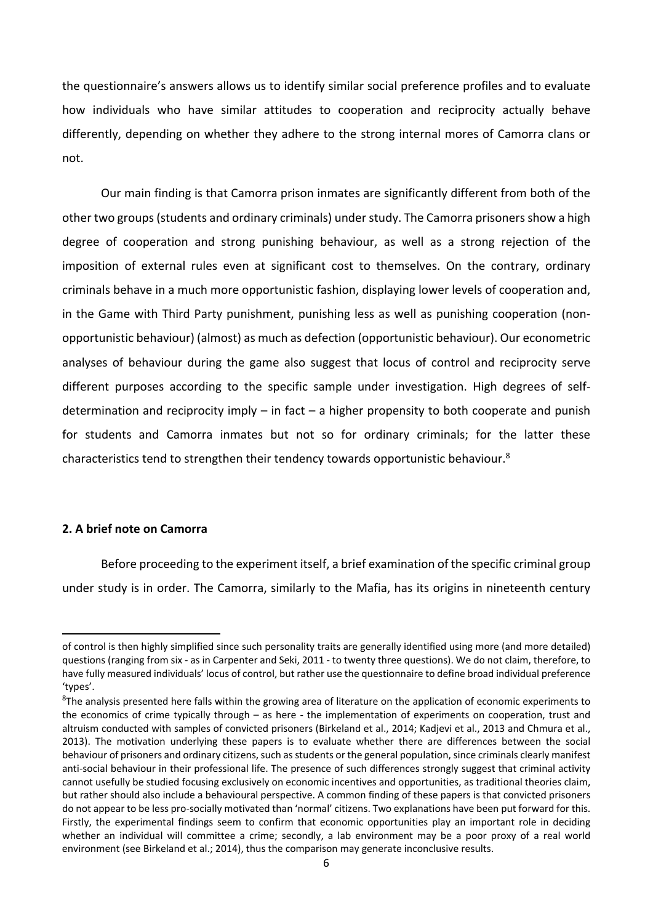the questionnaire's answers allows us to identify similar social preference profiles and to evaluate how individuals who have similar attitudes to cooperation and reciprocity actually behave differently, depending on whether they adhere to the strong internal mores of Camorra clans or not.

Our main finding is that Camorra prison inmates are significantly different from both of the other two groups(students and ordinary criminals) understudy. The Camorra prisonersshow a high degree of cooperation and strong punishing behaviour, as well as a strong rejection of the imposition of external rules even at significant cost to themselves. On the contrary, ordinary criminals behave in a much more opportunistic fashion, displaying lower levels of cooperation and, in the Game with Third Party punishment, punishing less as well as punishing cooperation (non‐ opportunistic behaviour) (almost) as much as defection (opportunistic behaviour). Our econometric analyses of behaviour during the game also suggest that locus of control and reciprocity serve different purposes according to the specific sample under investigation. High degrees of self‐ determination and reciprocity imply  $-$  in fact  $-$  a higher propensity to both cooperate and punish for students and Camorra inmates but not so for ordinary criminals; for the latter these characteristics tend to strengthen their tendency towards opportunistic behaviour.8

### **2. A brief note on Camorra**

Before proceeding to the experiment itself, a brief examination of the specific criminal group under study is in order. The Camorra, similarly to the Mafia, has its origins in nineteenth century

of control is then highly simplified since such personality traits are generally identified using more (and more detailed) questions (ranging from six ‐ as in Carpenter and Seki, 2011 ‐ to twenty three questions). We do not claim, therefore, to have fully measured individuals' locus of control, but rather use the questionnaire to define broad individual preference 'types'.

<sup>&</sup>lt;sup>8</sup>The analysis presented here falls within the growing area of literature on the application of economic experiments to the economics of crime typically through – as here - the implementation of experiments on cooperation, trust and altruism conducted with samples of convicted prisoners (Birkeland et al., 2014; Kadjevi et al., 2013 and Chmura et al., 2013). The motivation underlying these papers is to evaluate whether there are differences between the social behaviour of prisoners and ordinary citizens, such as students or the general population, since criminals clearly manifest anti-social behaviour in their professional life. The presence of such differences strongly suggest that criminal activity cannot usefully be studied focusing exclusively on economic incentives and opportunities, as traditional theories claim, but rather should also include a behavioural perspective. A common finding of these papers is that convicted prisoners do not appear to be less pro‐socially motivated than 'normal' citizens. Two explanations have been put forward for this. Firstly, the experimental findings seem to confirm that economic opportunities play an important role in deciding whether an individual will committee a crime; secondly, a lab environment may be a poor proxy of a real world environment (see Birkeland et al.; 2014), thus the comparison may generate inconclusive results.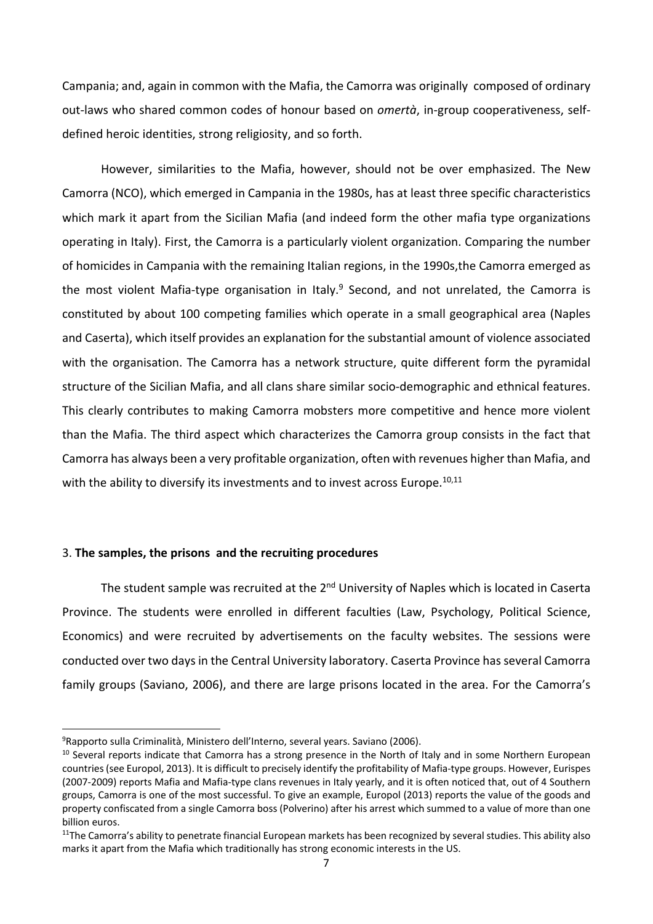Campania; and, again in common with the Mafia, the Camorra was originally composed of ordinary out‐laws who shared common codes of honour based on *omertà*, in‐group cooperativeness, self‐ defined heroic identities, strong religiosity, and so forth.

However, similarities to the Mafia, however, should not be over emphasized. The New Camorra (NCO), which emerged in Campania in the 1980s, has at least three specific characteristics which mark it apart from the Sicilian Mafia (and indeed form the other mafia type organizations operating in Italy). First, the Camorra is a particularly violent organization. Comparing the number of homicides in Campania with the remaining Italian regions, in the 1990s,the Camorra emerged as the most violent Mafia-type organisation in Italy.<sup>9</sup> Second, and not unrelated, the Camorra is constituted by about 100 competing families which operate in a small geographical area (Naples and Caserta), which itself provides an explanation for the substantial amount of violence associated with the organisation. The Camorra has a network structure, quite different form the pyramidal structure of the Sicilian Mafia, and all clans share similar socio‐demographic and ethnical features. This clearly contributes to making Camorra mobsters more competitive and hence more violent than the Mafia. The third aspect which characterizes the Camorra group consists in the fact that Camorra has always been a very profitable organization, often with revenues higher than Mafia, and with the ability to diversify its investments and to invest across Europe.<sup>10,11</sup>

### 3. **The samples, the prisons and the recruiting procedures**

The student sample was recruited at the 2<sup>nd</sup> University of Naples which is located in Caserta Province. The students were enrolled in different faculties (Law, Psychology, Political Science, Economics) and were recruited by advertisements on the faculty websites. The sessions were conducted over two days in the Central University laboratory. Caserta Province has several Camorra family groups (Saviano, 2006), and there are large prisons located in the area. For the Camorra's

<sup>9</sup> Rapporto sulla Criminalità, Ministero dell'Interno, several years. Saviano (2006).

<sup>&</sup>lt;sup>10</sup> Several reports indicate that Camorra has a strong presence in the North of Italy and in some Northern European countries (see Europol, 2013). It is difficult to precisely identify the profitability of Mafia-type groups. However, Eurispes (2007‐2009) reports Mafia and Mafia‐type clans revenues in Italy yearly, and it is often noticed that, out of 4 Southern groups, Camorra is one of the most successful. To give an example, Europol (2013) reports the value of the goods and property confiscated from a single Camorra boss (Polverino) after his arrest which summed to a value of more than one billion euros.

 $11$ The Camorra's ability to penetrate financial European markets has been recognized by several studies. This ability also marks it apart from the Mafia which traditionally has strong economic interests in the US.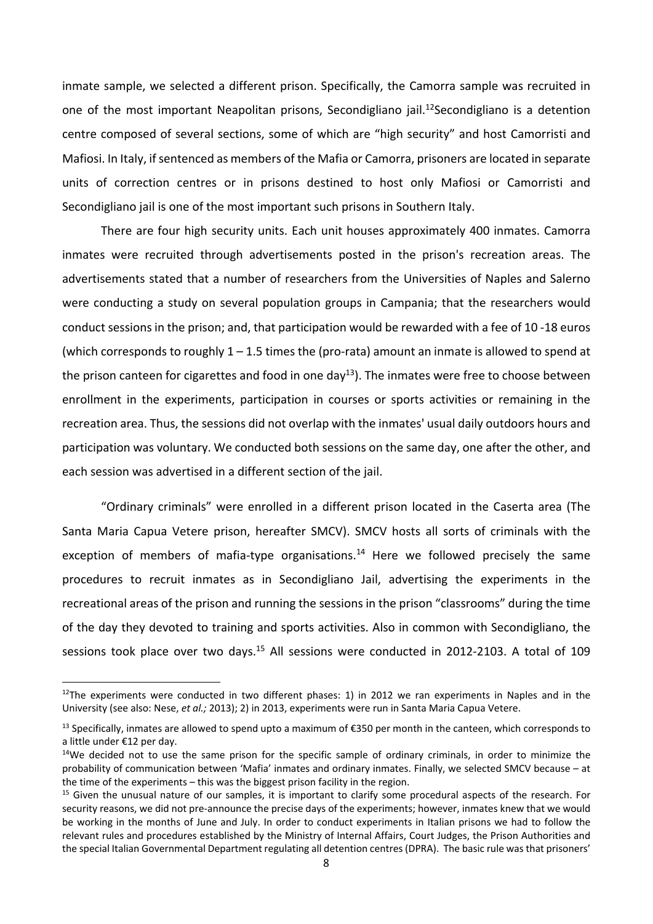inmate sample, we selected a different prison. Specifically, the Camorra sample was recruited in one of the most important Neapolitan prisons, Secondigliano jail.<sup>12</sup>Secondigliano is a detention centre composed of several sections, some of which are "high security" and host Camorristi and Mafiosi. In Italy, if sentenced as members of the Mafia or Camorra, prisoners are located in separate units of correction centres or in prisons destined to host only Mafiosi or Camorristi and Secondigliano jail is one of the most important such prisons in Southern Italy.

There are four high security units. Each unit houses approximately 400 inmates. Camorra inmates were recruited through advertisements posted in the prison's recreation areas. The advertisements stated that a number of researchers from the Universities of Naples and Salerno were conducting a study on several population groups in Campania; that the researchers would conduct sessions in the prison; and, that participation would be rewarded with a fee of 10 ‐18 euros (which corresponds to roughly  $1 - 1.5$  times the (pro-rata) amount an inmate is allowed to spend at the prison canteen for cigarettes and food in one day<sup>13</sup>). The inmates were free to choose between enrollment in the experiments, participation in courses or sports activities or remaining in the recreation area. Thus, the sessions did not overlap with the inmates' usual daily outdoors hours and participation was voluntary. We conducted both sessions on the same day, one after the other, and each session was advertised in a different section of the jail.

"Ordinary criminals" were enrolled in a different prison located in the Caserta area (The Santa Maria Capua Vetere prison, hereafter SMCV). SMCV hosts all sorts of criminals with the exception of members of mafia-type organisations.<sup>14</sup> Here we followed precisely the same procedures to recruit inmates as in Secondigliano Jail, advertising the experiments in the recreational areas of the prison and running the sessions in the prison "classrooms" during the time of the day they devoted to training and sports activities. Also in common with Secondigliano, the sessions took place over two days.<sup>15</sup> All sessions were conducted in 2012-2103. A total of 109

 $12$ The experiments were conducted in two different phases: 1) in 2012 we ran experiments in Naples and in the University (see also: Nese, *et al.;* 2013); 2) in 2013, experiments were run in Santa Maria Capua Vetere.

<sup>&</sup>lt;sup>13</sup> Specifically, inmates are allowed to spend upto a maximum of €350 per month in the canteen, which corresponds to a little under €12 per day.

 $14$ We decided not to use the same prison for the specific sample of ordinary criminals, in order to minimize the probability of communication between 'Mafia' inmates and ordinary inmates. Finally, we selected SMCV because – at the time of the experiments – this was the biggest prison facility in the region.

<sup>&</sup>lt;sup>15</sup> Given the unusual nature of our samples, it is important to clarify some procedural aspects of the research. For security reasons, we did not pre-announce the precise days of the experiments; however, inmates knew that we would be working in the months of June and July. In order to conduct experiments in Italian prisons we had to follow the relevant rules and procedures established by the Ministry of Internal Affairs, Court Judges, the Prison Authorities and the special Italian Governmental Department regulating all detention centres(DPRA). The basic rule was that prisoners'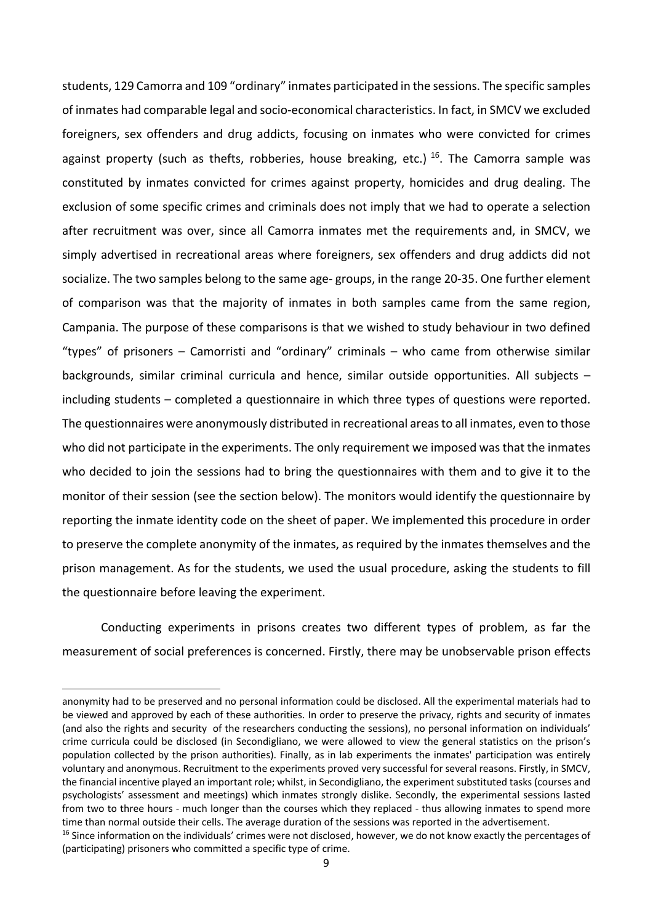students, 129 Camorra and 109 "ordinary" inmates participated in the sessions. The specific samples of inmates had comparable legal and socio‐economical characteristics. In fact, in SMCV we excluded foreigners, sex offenders and drug addicts, focusing on inmates who were convicted for crimes against property (such as thefts, robberies, house breaking, etc.)  $16$ . The Camorra sample was constituted by inmates convicted for crimes against property, homicides and drug dealing. The exclusion of some specific crimes and criminals does not imply that we had to operate a selection after recruitment was over, since all Camorra inmates met the requirements and, in SMCV, we simply advertised in recreational areas where foreigners, sex offenders and drug addicts did not socialize. The two samples belong to the same age‐ groups, in the range 20‐35. One further element of comparison was that the majority of inmates in both samples came from the same region, Campania. The purpose of these comparisons is that we wished to study behaviour in two defined "types" of prisoners – Camorristi and "ordinary" criminals – who came from otherwise similar backgrounds, similar criminal curricula and hence, similar outside opportunities. All subjects including students – completed a questionnaire in which three types of questions were reported. The questionnaires were anonymously distributed in recreational areas to all inmates, even to those who did not participate in the experiments. The only requirement we imposed was that the inmates who decided to join the sessions had to bring the questionnaires with them and to give it to the monitor of their session (see the section below). The monitors would identify the questionnaire by reporting the inmate identity code on the sheet of paper. We implemented this procedure in order to preserve the complete anonymity of the inmates, as required by the inmates themselves and the prison management. As for the students, we used the usual procedure, asking the students to fill the questionnaire before leaving the experiment.

Conducting experiments in prisons creates two different types of problem, as far the measurement of social preferences is concerned. Firstly, there may be unobservable prison effects

anonymity had to be preserved and no personal information could be disclosed. All the experimental materials had to be viewed and approved by each of these authorities. In order to preserve the privacy, rights and security of inmates (and also the rights and security of the researchers conducting the sessions), no personal information on individuals' crime curricula could be disclosed (in Secondigliano, we were allowed to view the general statistics on the prison's population collected by the prison authorities). Finally, as in lab experiments the inmates' participation was entirely voluntary and anonymous. Recruitment to the experiments proved very successful for several reasons. Firstly, in SMCV, the financial incentive played an important role; whilst, in Secondigliano, the experiment substituted tasks (courses and psychologists' assessment and meetings) which inmates strongly dislike. Secondly, the experimental sessions lasted from two to three hours - much longer than the courses which they replaced - thus allowing inmates to spend more time than normal outside their cells. The average duration of the sessions was reported in the advertisement.

<sup>&</sup>lt;sup>16</sup> Since information on the individuals' crimes were not disclosed, however, we do not know exactly the percentages of (participating) prisoners who committed a specific type of crime.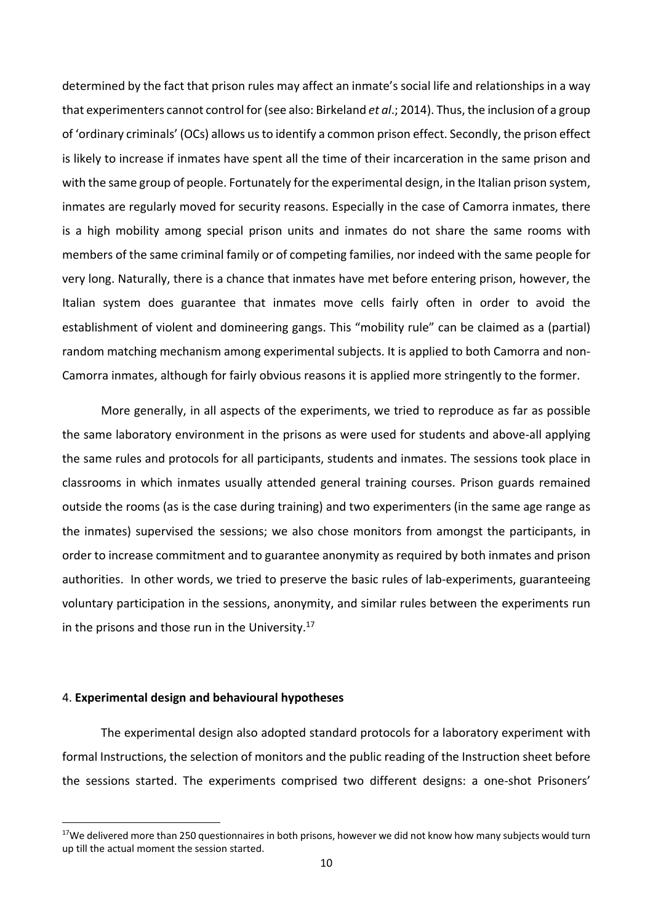determined by the fact that prison rules may affect an inmate's social life and relationships in a way that experimenters cannot control for(see also: Birkeland *et al*.; 2014). Thus, the inclusion of a group of 'ordinary criminals' (OCs) allows usto identify a common prison effect. Secondly, the prison effect is likely to increase if inmates have spent all the time of their incarceration in the same prison and with the same group of people. Fortunately for the experimental design, in the Italian prison system, inmates are regularly moved for security reasons. Especially in the case of Camorra inmates, there is a high mobility among special prison units and inmates do not share the same rooms with members of the same criminal family or of competing families, nor indeed with the same people for very long. Naturally, there is a chance that inmates have met before entering prison, however, the Italian system does guarantee that inmates move cells fairly often in order to avoid the establishment of violent and domineering gangs. This "mobility rule" can be claimed as a (partial) random matching mechanism among experimental subjects. It is applied to both Camorra and non‐ Camorra inmates, although for fairly obvious reasons it is applied more stringently to the former.

More generally, in all aspects of the experiments, we tried to reproduce as far as possible the same laboratory environment in the prisons as were used for students and above-all applying the same rules and protocols for all participants, students and inmates. The sessions took place in classrooms in which inmates usually attended general training courses. Prison guards remained outside the rooms (as is the case during training) and two experimenters (in the same age range as the inmates) supervised the sessions; we also chose monitors from amongst the participants, in order to increase commitment and to guarantee anonymity as required by both inmates and prison authorities. In other words, we tried to preserve the basic rules of lab‐experiments, guaranteeing voluntary participation in the sessions, anonymity, and similar rules between the experiments run in the prisons and those run in the University.17

### 4. **Experimental design and behavioural hypotheses**

The experimental design also adopted standard protocols for a laboratory experiment with formal Instructions, the selection of monitors and the public reading of the Instruction sheet before the sessions started. The experiments comprised two different designs: a one‐shot Prisoners'

<sup>&</sup>lt;sup>17</sup>We delivered more than 250 questionnaires in both prisons, however we did not know how many subjects would turn up till the actual moment the session started.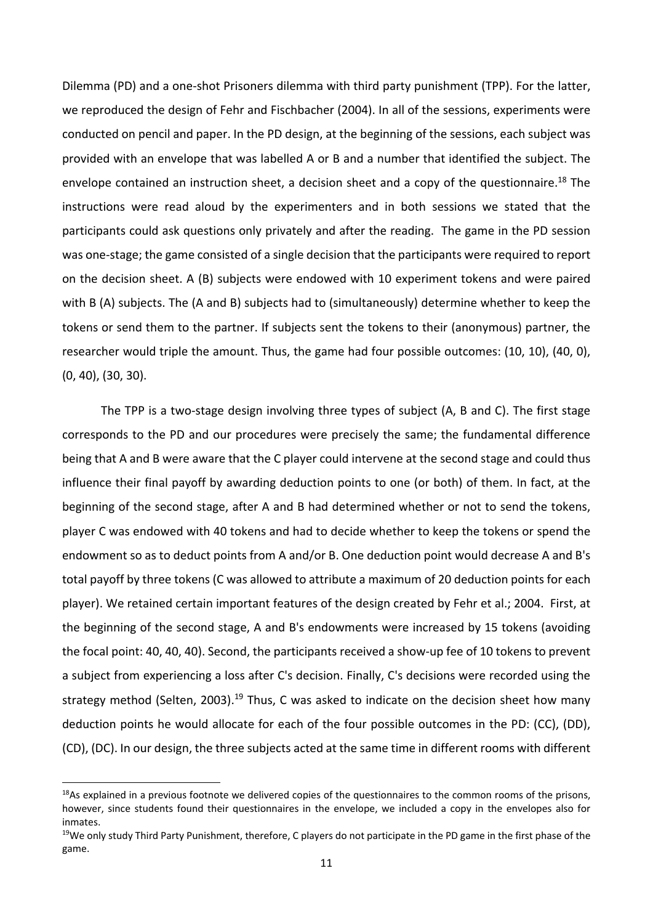Dilemma (PD) and a one‐shot Prisoners dilemma with third party punishment (TPP). For the latter, we reproduced the design of Fehr and Fischbacher (2004). In all of the sessions, experiments were conducted on pencil and paper. In the PD design, at the beginning of the sessions, each subject was provided with an envelope that was labelled A or B and a number that identified the subject. The envelope contained an instruction sheet, a decision sheet and a copy of the questionnaire.<sup>18</sup> The instructions were read aloud by the experimenters and in both sessions we stated that the participants could ask questions only privately and after the reading. The game in the PD session was one‐stage; the game consisted of a single decision that the participants were required to report on the decision sheet. A (B) subjects were endowed with 10 experiment tokens and were paired with B (A) subjects. The (A and B) subjects had to (simultaneously) determine whether to keep the tokens or send them to the partner. If subjects sent the tokens to their (anonymous) partner, the researcher would triple the amount. Thus, the game had four possible outcomes: (10, 10), (40, 0), (0, 40), (30, 30).

The TPP is a two-stage design involving three types of subject (A, B and C). The first stage corresponds to the PD and our procedures were precisely the same; the fundamental difference being that A and B were aware that the C player could intervene at the second stage and could thus influence their final payoff by awarding deduction points to one (or both) of them. In fact, at the beginning of the second stage, after A and B had determined whether or not to send the tokens, player C was endowed with 40 tokens and had to decide whether to keep the tokens or spend the endowment so as to deduct points from A and/or B. One deduction point would decrease A and B's total payoff by three tokens (C was allowed to attribute a maximum of 20 deduction points for each player). We retained certain important features of the design created by Fehr et al.; 2004. First, at the beginning of the second stage, A and B's endowments were increased by 15 tokens (avoiding the focal point: 40, 40, 40). Second, the participants received a show‐up fee of 10 tokens to prevent a subject from experiencing a loss after C's decision. Finally, C's decisions were recorded using the strategy method (Selten, 2003).<sup>19</sup> Thus, C was asked to indicate on the decision sheet how many deduction points he would allocate for each of the four possible outcomes in the PD: (CC), (DD), (CD), (DC). In our design, the three subjects acted at the same time in different rooms with different

<sup>&</sup>lt;sup>18</sup>As explained in a previous footnote we delivered copies of the questionnaires to the common rooms of the prisons, however, since students found their questionnaires in the envelope, we included a copy in the envelopes also for inmates.

<sup>&</sup>lt;sup>19</sup>We only study Third Party Punishment, therefore, C players do not participate in the PD game in the first phase of the game.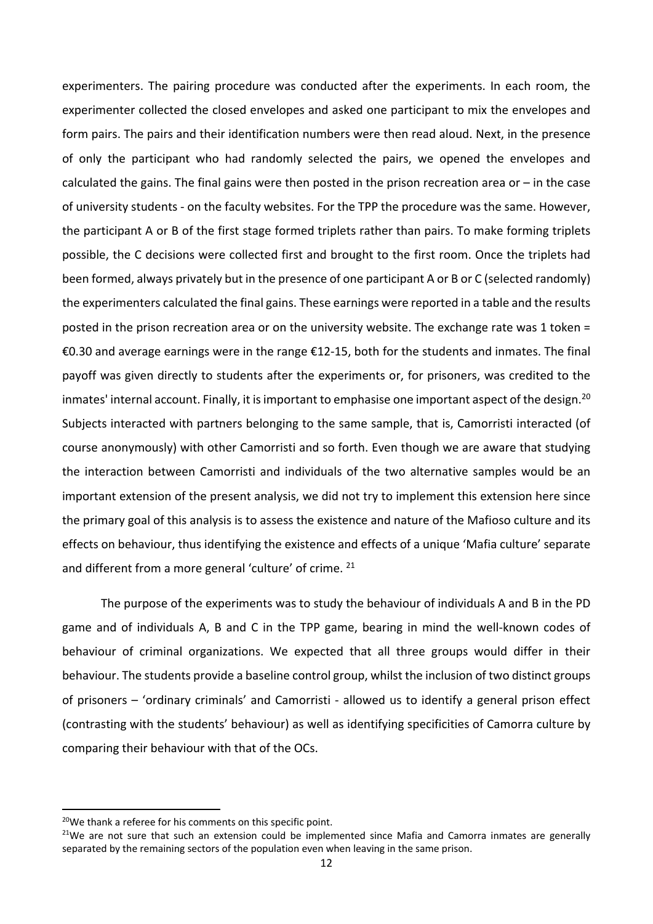experimenters. The pairing procedure was conducted after the experiments. In each room, the experimenter collected the closed envelopes and asked one participant to mix the envelopes and form pairs. The pairs and their identification numbers were then read aloud. Next, in the presence of only the participant who had randomly selected the pairs, we opened the envelopes and calculated the gains. The final gains were then posted in the prison recreation area or – in the case of university students ‐ on the faculty websites. For the TPP the procedure was the same. However, the participant A or B of the first stage formed triplets rather than pairs. To make forming triplets possible, the C decisions were collected first and brought to the first room. Once the triplets had been formed, always privately but in the presence of one participant A or B or C (selected randomly) the experimenters calculated the final gains. These earnings were reported in a table and the results posted in the prison recreation area or on the university website. The exchange rate was 1 token = €0.30 and average earnings were in the range €12‐15, both for the students and inmates. The final payoff was given directly to students after the experiments or, for prisoners, was credited to the inmates' internal account. Finally, it is important to emphasise one important aspect of the design.<sup>20</sup> Subjects interacted with partners belonging to the same sample, that is, Camorristi interacted (of course anonymously) with other Camorristi and so forth. Even though we are aware that studying the interaction between Camorristi and individuals of the two alternative samples would be an important extension of the present analysis, we did not try to implement this extension here since the primary goal of this analysis is to assess the existence and nature of the Mafioso culture and its effects on behaviour, thus identifying the existence and effects of a unique 'Mafia culture' separate and different from a more general 'culture' of crime. <sup>21</sup>

The purpose of the experiments was to study the behaviour of individuals A and B in the PD game and of individuals A, B and C in the TPP game, bearing in mind the well-known codes of behaviour of criminal organizations. We expected that all three groups would differ in their behaviour. The students provide a baseline control group, whilst the inclusion of two distinct groups of prisoners – 'ordinary criminals' and Camorristi ‐ allowed us to identify a general prison effect (contrasting with the students' behaviour) as well as identifying specificities of Camorra culture by comparing their behaviour with that of the OCs.

<sup>&</sup>lt;sup>20</sup>We thank a referee for his comments on this specific point.

<sup>&</sup>lt;sup>21</sup>We are not sure that such an extension could be implemented since Mafia and Camorra inmates are generally separated by the remaining sectors of the population even when leaving in the same prison.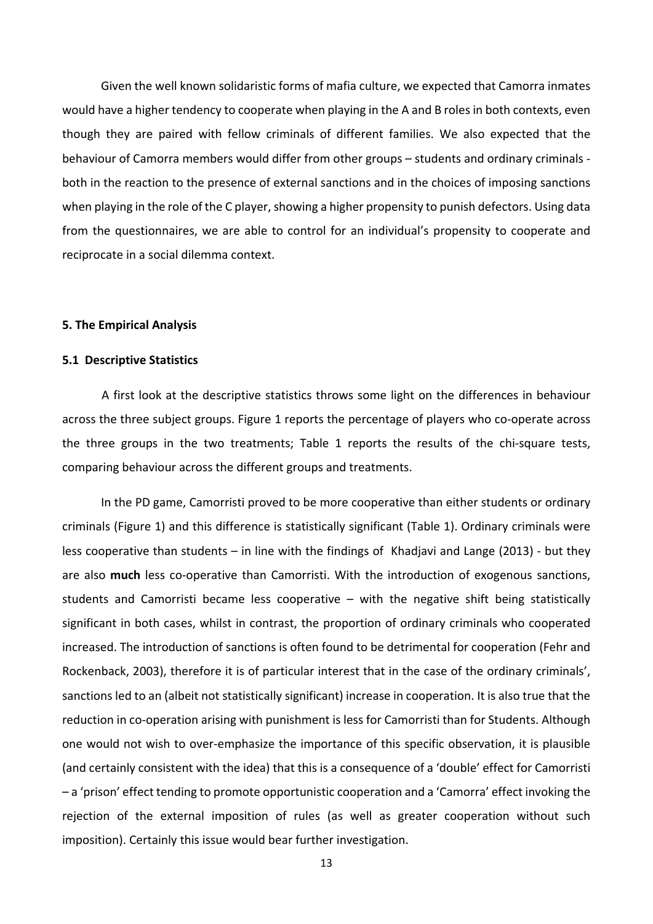Given the well known solidaristic forms of mafia culture, we expected that Camorra inmates would have a higher tendency to cooperate when playing in the A and B rolesin both contexts, even though they are paired with fellow criminals of different families. We also expected that the behaviour of Camorra members would differ from other groups – students and ordinary criminals ‐ both in the reaction to the presence of external sanctions and in the choices of imposing sanctions when playing in the role of the C player, showing a higher propensity to punish defectors. Using data from the questionnaires, we are able to control for an individual's propensity to cooperate and reciprocate in a social dilemma context.

#### **5. The Empirical Analysis**

#### **5.1 Descriptive Statistics**

A first look at the descriptive statistics throws some light on the differences in behaviour across the three subject groups. Figure 1 reports the percentage of players who co‐operate across the three groups in the two treatments; Table 1 reports the results of the chi‐square tests, comparing behaviour across the different groups and treatments.

In the PD game, Camorristi proved to be more cooperative than either students or ordinary criminals (Figure 1) and this difference is statistically significant (Table 1). Ordinary criminals were less cooperative than students – in line with the findings of Khadjavi and Lange (2013) ‐ but they are also **much** less co‐operative than Camorristi. With the introduction of exogenous sanctions, students and Camorristi became less cooperative  $-$  with the negative shift being statistically significant in both cases, whilst in contrast, the proportion of ordinary criminals who cooperated increased. The introduction of sanctions is often found to be detrimental for cooperation (Fehr and Rockenback, 2003), therefore it is of particular interest that in the case of the ordinary criminals', sanctions led to an (albeit not statistically significant) increase in cooperation. It is also true that the reduction in co-operation arising with punishment is less for Camorristi than for Students. Although one would not wish to over‐emphasize the importance of this specific observation, it is plausible (and certainly consistent with the idea) that this is a consequence of a 'double' effect for Camorristi – a 'prison' effect tending to promote opportunistic cooperation and a 'Camorra' effect invoking the rejection of the external imposition of rules (as well as greater cooperation without such imposition). Certainly this issue would bear further investigation.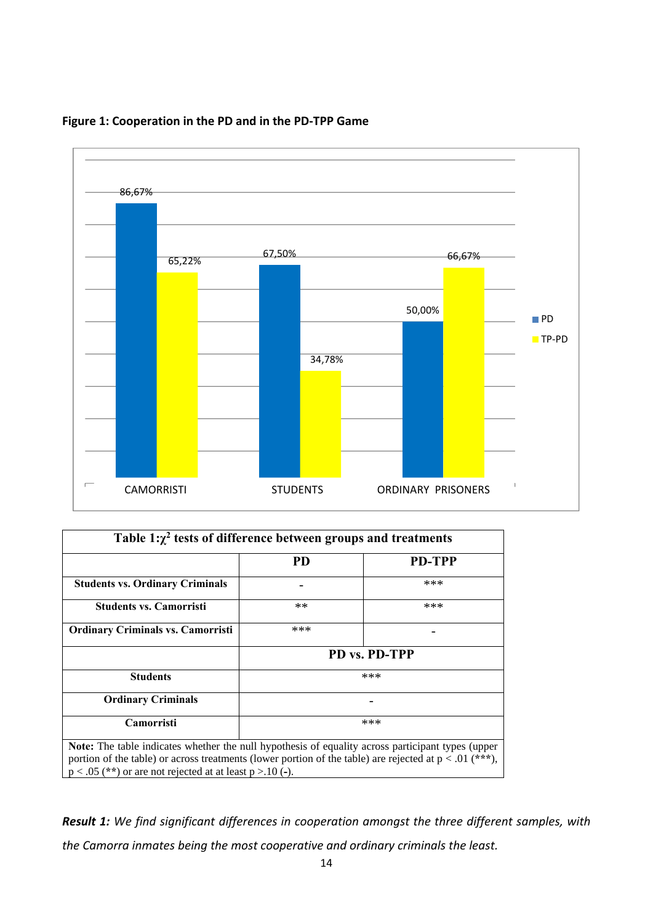

### **Figure 1: Cooperation in the PD and in the PD‐TPP Game**

| Table $1:\chi^2$ tests of difference between groups and treatments                                                                                                                                                                                                                    |               |               |  |  |  |
|---------------------------------------------------------------------------------------------------------------------------------------------------------------------------------------------------------------------------------------------------------------------------------------|---------------|---------------|--|--|--|
|                                                                                                                                                                                                                                                                                       | <b>PD</b>     | <b>PD-TPP</b> |  |  |  |
| <b>Students vs. Ordinary Criminals</b>                                                                                                                                                                                                                                                |               | ***           |  |  |  |
| <b>Students vs. Camorristi</b>                                                                                                                                                                                                                                                        | $**$          | ***           |  |  |  |
| <b>Ordinary Criminals vs. Camorristi</b>                                                                                                                                                                                                                                              | ***           |               |  |  |  |
|                                                                                                                                                                                                                                                                                       | PD vs. PD-TPP |               |  |  |  |
| <b>Students</b>                                                                                                                                                                                                                                                                       |               | ***           |  |  |  |
| <b>Ordinary Criminals</b>                                                                                                                                                                                                                                                             |               |               |  |  |  |
| Camorristi                                                                                                                                                                                                                                                                            |               | ***           |  |  |  |
| <b>Note:</b> The table indicates whether the null hypothesis of equality across participant types (upper<br>portion of the table) or across treatments (lower portion of the table) are rejected at $p < .01$ (***),<br>$p < .05$ (**) or are not rejected at at least $p > .10$ (-). |               |               |  |  |  |

*Result 1: We find significant differences in cooperation amongst the three different samples, with the Camorra inmates being the most cooperative and ordinary criminals the least.*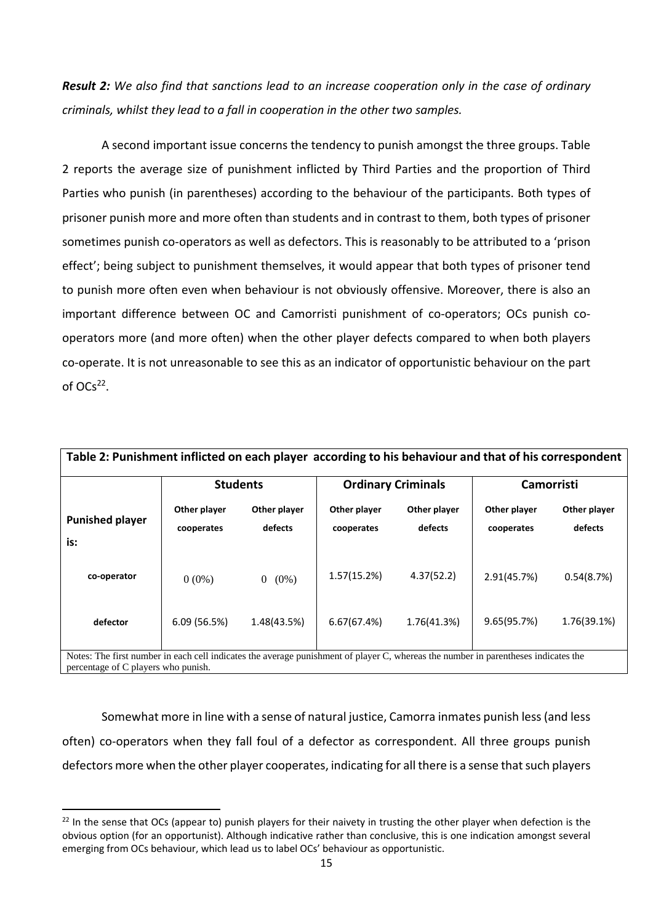*Result 2: We also find that sanctions lead to an increase cooperation only in the case of ordinary criminals, whilst they lead to a fall in cooperation in the other two samples.* 

A second important issue concerns the tendency to punish amongst the three groups. Table 2 reports the average size of punishment inflicted by Third Parties and the proportion of Third Parties who punish (in parentheses) according to the behaviour of the participants. Both types of prisoner punish more and more often than students and in contrast to them, both types of prisoner sometimes punish co-operators as well as defectors. This is reasonably to be attributed to a 'prison effect'; being subject to punishment themselves, it would appear that both types of prisoner tend to punish more often even when behaviour is not obviously offensive. Moreover, there is also an important difference between OC and Camorristi punishment of co-operators; OCs punish cooperators more (and more often) when the other player defects compared to when both players co‐operate. It is not unreasonable to see this as an indicator of opportunistic behaviour on the part of  $OCs<sup>22</sup>$ .

|                               | <b>Students</b>            |                         |                            | <b>Ordinary Criminals</b> | <b>Camorristi</b>          |                         |
|-------------------------------|----------------------------|-------------------------|----------------------------|---------------------------|----------------------------|-------------------------|
| <b>Punished player</b><br>is: | Other player<br>cooperates | Other player<br>defects | Other player<br>cooperates | Other player<br>defects   | Other player<br>cooperates | Other player<br>defects |
| co-operator                   | $0(0\%)$                   | $(0\%)$<br>$\Omega$     | 1.57(15.2%)                | 4.37(52.2)                | 2.91(45.7%)                | 0.54(8.7%)              |
| defector                      | 6.09 (56.5%)               | 1.48(43.5%)             | 6.67(67.4%)                | 1.76(41.3%)               | 9.65(95.7%)                | 1.76(39.1%)             |

Somewhat more in line with a sense of natural justice, Camorra inmates punish less(and less often) co-operators when they fall foul of a defector as correspondent. All three groups punish defectors more when the other player cooperates, indicating for all there is a sense that such players

<sup>&</sup>lt;sup>22</sup> In the sense that OCs (appear to) punish players for their naivety in trusting the other player when defection is the obvious option (for an opportunist). Although indicative rather than conclusive, this is one indication amongst several emerging from OCs behaviour, which lead us to label OCs' behaviour as opportunistic.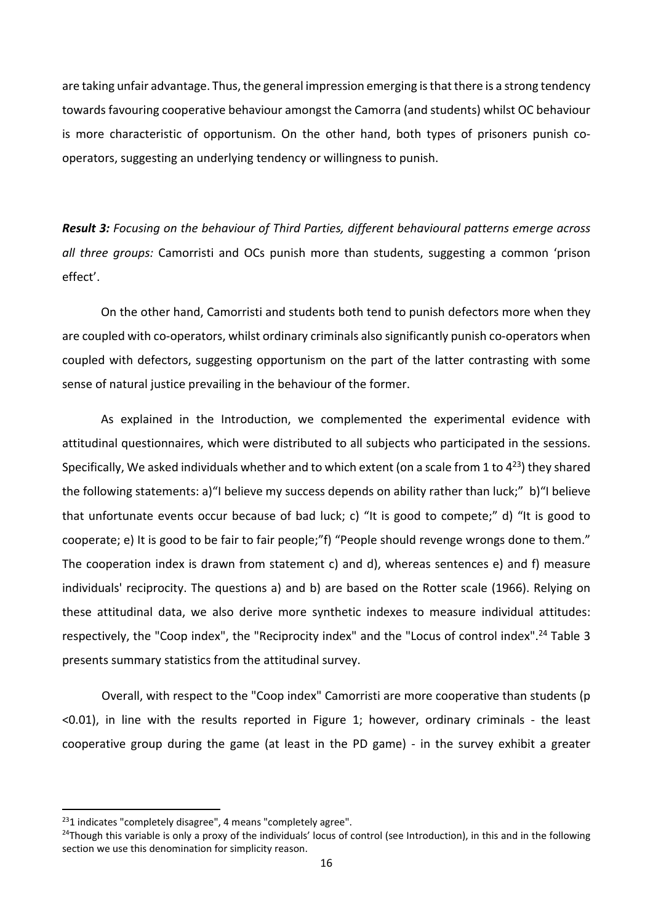are taking unfair advantage. Thus, the general impression emerging isthat there is a strong tendency towards favouring cooperative behaviour amongst the Camorra (and students) whilst OC behaviour is more characteristic of opportunism. On the other hand, both types of prisoners punish cooperators, suggesting an underlying tendency or willingness to punish.

*Result 3: Focusing on the behaviour of Third Parties, different behavioural patterns emerge across all three groups:* Camorristi and OCs punish more than students, suggesting a common 'prison effect'.

On the other hand, Camorristi and students both tend to punish defectors more when they are coupled with co-operators, whilst ordinary criminals also significantly punish co-operators when coupled with defectors, suggesting opportunism on the part of the latter contrasting with some sense of natural justice prevailing in the behaviour of the former.

As explained in the Introduction, we complemented the experimental evidence with attitudinal questionnaires, which were distributed to all subjects who participated in the sessions. Specifically, We asked individuals whether and to which extent (on a scale from 1 to  $4^{23}$ ) they shared the following statements: a)"I believe my success depends on ability rather than luck;" b)"I believe that unfortunate events occur because of bad luck; c) "It is good to compete;" d) "It is good to cooperate; e) It is good to be fair to fair people;"f) "People should revenge wrongs done to them." The cooperation index is drawn from statement c) and d), whereas sentences e) and f) measure individuals' reciprocity. The questions a) and b) are based on the Rotter scale (1966). Relying on these attitudinal data, we also derive more synthetic indexes to measure individual attitudes: respectively, the "Coop index", the "Reciprocity index" and the "Locus of control index".<sup>24</sup> Table 3 presents summary statistics from the attitudinal survey.

Overall, with respect to the "Coop index" Camorristi are more cooperative than students (p <0.01), in line with the results reported in Figure 1; however, ordinary criminals ‐ the least cooperative group during the game (at least in the PD game) ‐ in the survey exhibit a greater

<sup>&</sup>lt;sup>23</sup>1 indicates "completely disagree", 4 means "completely agree".

<sup>&</sup>lt;sup>24</sup>Though this variable is only a proxy of the individuals' locus of control (see Introduction), in this and in the following section we use this denomination for simplicity reason.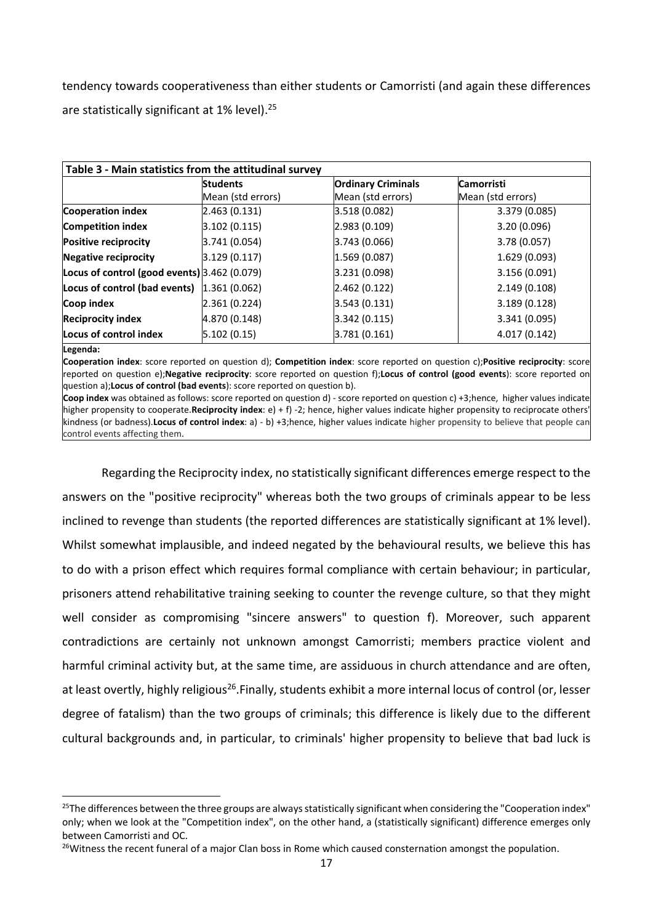tendency towards cooperativeness than either students or Camorristi (and again these differences are statistically significant at 1% level).<sup>25</sup>

| Table 3 - Main statistics from the attitudinal survey |                   |                           |                   |  |  |  |
|-------------------------------------------------------|-------------------|---------------------------|-------------------|--|--|--|
|                                                       | <b>Students</b>   | <b>Ordinary Criminals</b> |                   |  |  |  |
|                                                       | Mean (std errors) | Mean (std errors)         | Mean (std errors) |  |  |  |
| <b>Cooperation index</b>                              | 2.463(0.131)      | 3.518 (0.082)             | 3.379 (0.085)     |  |  |  |
| <b>Competition index</b>                              | 3.102(0.115)      | 2.983 (0.109)             | 3.20(0.096)       |  |  |  |
| <b>Positive reciprocity</b>                           | 3.741 (0.054)     | 3.743 (0.066)             | 3.78 (0.057)      |  |  |  |
| <b>Negative reciprocity</b>                           | 3.129(0.117)      | 1.569(0.087)              | 1.629(0.093)      |  |  |  |
| Locus of control (good events) $3.462$ (0.079)        |                   | 3.231 (0.098)             | 3.156 (0.091)     |  |  |  |
| Locus of control (bad events)                         | 1.361(0.062)      | 2.462 (0.122)             | 2.149(0.108)      |  |  |  |
| Coop index                                            | 2.361(0.224)      | 3.543(0.131)              | 3.189(0.128)      |  |  |  |
| <b>Reciprocity index</b>                              | 4.870 (0.148)     | 3.342(0.115)              | 3.341 (0.095)     |  |  |  |
| Locus of control index                                | 5.102(0.15)       | 3.781 (0.161)             | 4.017 (0.142)     |  |  |  |

#### **Legenda:**

**Cooperation index**: score reported on question d); **Competition index**: score reported on question c);**Positive reciprocity**: score reported on question e);**Negative reciprocity**: score reported on question f);**Locus of control (good events**): score reported on question a);**Locus of control (bad events**): score reported on question b).

**Coop index** was obtained as follows: score reported on question d) ‐ score reported on question c) +3;hence, higher values indicate higher propensity to cooperate.**Reciprocity index**: e) + f) ‐2; hence, higher values indicate higher propensity to reciprocate others' kindness (or badness).**Locus of control index**: a) ‐ b) +3;hence, higher values indicate higher propensity to believe that people can control events affecting them.

Regarding the Reciprocity index, no statistically significant differences emerge respect to the answers on the "positive reciprocity" whereas both the two groups of criminals appear to be less inclined to revenge than students (the reported differences are statistically significant at 1% level). Whilst somewhat implausible, and indeed negated by the behavioural results, we believe this has to do with a prison effect which requires formal compliance with certain behaviour; in particular, prisoners attend rehabilitative training seeking to counter the revenge culture, so that they might well consider as compromising "sincere answers" to question f). Moreover, such apparent contradictions are certainly not unknown amongst Camorristi; members practice violent and harmful criminal activity but, at the same time, are assiduous in church attendance and are often, at least overtly, highly religious<sup>26</sup>. Finally, students exhibit a more internal locus of control (or, lesser degree of fatalism) than the two groups of criminals; this difference is likely due to the different cultural backgrounds and, in particular, to criminals' higher propensity to believe that bad luck is

<sup>&</sup>lt;sup>25</sup>The differences between the three groups are always statistically significant when considering the "Cooperation index" only; when we look at the "Competition index", on the other hand, a (statistically significant) difference emerges only between Camorristi and OC.

<sup>&</sup>lt;sup>26</sup>Witness the recent funeral of a major Clan boss in Rome which caused consternation amongst the population.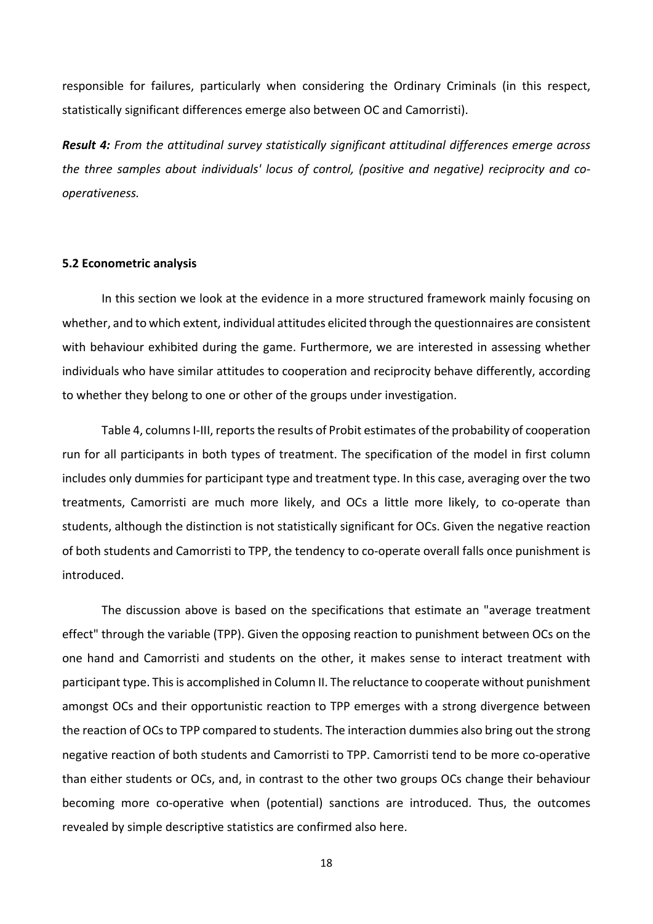responsible for failures, particularly when considering the Ordinary Criminals (in this respect, statistically significant differences emerge also between OC and Camorristi).

*Result 4: From the attitudinal survey statistically significant attitudinal differences emerge across the three samples about individuals' locus of control, (positive and negative) reciprocity and co‐ operativeness.*

### **5.2 Econometric analysis**

In this section we look at the evidence in a more structured framework mainly focusing on whether, and to which extent, individual attitudes elicited through the questionnaires are consistent with behaviour exhibited during the game. Furthermore, we are interested in assessing whether individuals who have similar attitudes to cooperation and reciprocity behave differently, according to whether they belong to one or other of the groups under investigation.

Table 4, columns I-III, reports the results of Probit estimates of the probability of cooperation run for all participants in both types of treatment. The specification of the model in first column includes only dummies for participant type and treatment type. In this case, averaging over the two treatments, Camorristi are much more likely, and OCs a little more likely, to co-operate than students, although the distinction is not statistically significant for OCs. Given the negative reaction of both students and Camorristi to TPP, the tendency to co‐operate overall falls once punishment is introduced.

The discussion above is based on the specifications that estimate an "average treatment effect" through the variable (TPP). Given the opposing reaction to punishment between OCs on the one hand and Camorristi and students on the other, it makes sense to interact treatment with participant type. Thisis accomplished in Column II. The reluctance to cooperate without punishment amongst OCs and their opportunistic reaction to TPP emerges with a strong divergence between the reaction of OCs to TPP compared to students. The interaction dummies also bring out the strong negative reaction of both students and Camorristi to TPP. Camorristi tend to be more co‐operative than either students or OCs, and, in contrast to the other two groups OCs change their behaviour becoming more co‐operative when (potential) sanctions are introduced. Thus, the outcomes revealed by simple descriptive statistics are confirmed also here.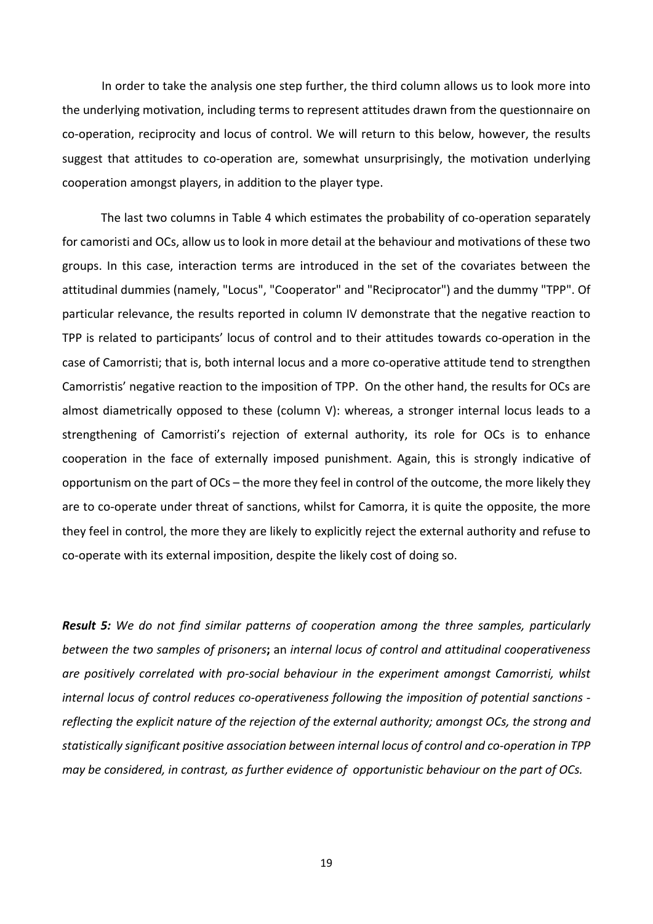In order to take the analysis one step further, the third column allows us to look more into the underlying motivation, including terms to represent attitudes drawn from the questionnaire on co-operation, reciprocity and locus of control. We will return to this below, however, the results suggest that attitudes to co-operation are, somewhat unsurprisingly, the motivation underlying cooperation amongst players, in addition to the player type.

The last two columns in Table 4 which estimates the probability of co-operation separately for camoristi and OCs, allow us to look in more detail at the behaviour and motivations of these two groups. In this case, interaction terms are introduced in the set of the covariates between the attitudinal dummies (namely, "Locus", "Cooperator" and "Reciprocator") and the dummy "TPP". Of particular relevance, the results reported in column IV demonstrate that the negative reaction to TPP is related to participants' locus of control and to their attitudes towards co‐operation in the case of Camorristi; that is, both internal locus and a more co‐operative attitude tend to strengthen Camorristis' negative reaction to the imposition of TPP. On the other hand, the results for OCs are almost diametrically opposed to these (column V): whereas, a stronger internal locus leads to a strengthening of Camorristi's rejection of external authority, its role for OCs is to enhance cooperation in the face of externally imposed punishment. Again, this is strongly indicative of opportunism on the part of OCs – the more they feel in control of the outcome, the more likely they are to co-operate under threat of sanctions, whilst for Camorra, it is quite the opposite, the more they feel in control, the more they are likely to explicitly reject the external authority and refuse to co‐operate with its external imposition, despite the likely cost of doing so.

*Result 5: We do not find similar patterns of cooperation among the three samples, particularly between the two samples of prisoners***;** an *internal locus of control and attitudinal cooperativeness are positively correlated with pro‐social behaviour in the experiment amongst Camorristi, whilst internal locus of control reduces co‐operativeness following the imposition of potential sanctions ‐ reflecting the explicit nature of the rejection of the external authority; amongst OCs, the strong and statistically significant positive association between internal locus of control and co‐operation in TPP may be considered, in contrast, as further evidence of opportunistic behaviour on the part of OCs.*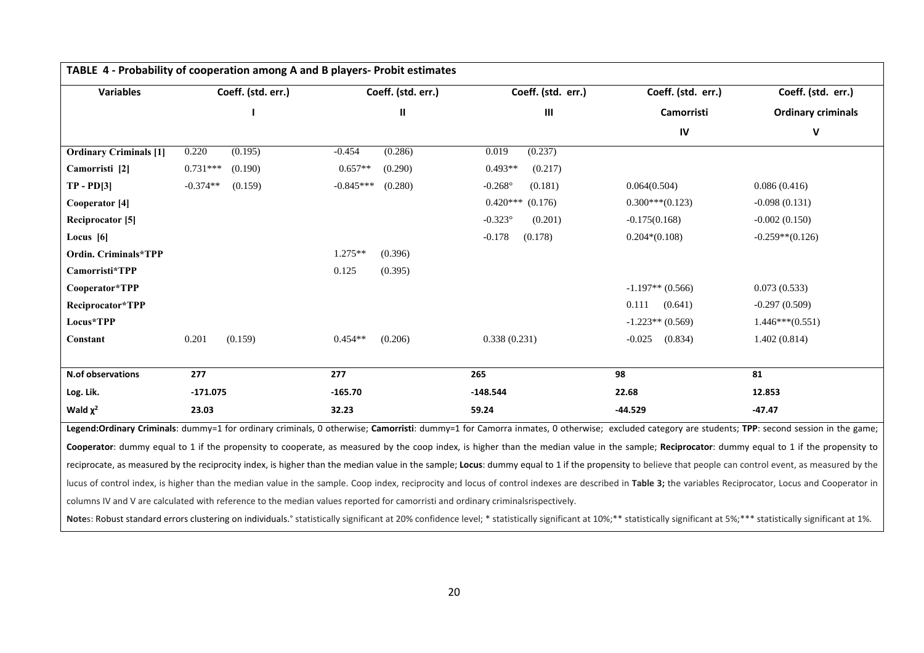| <b>Variables</b>              |            | Coeff. (std. err.) |             | Coeff. (std. err.) |                  | Coeff. (std. err.) | Coeff. (std. err.)                                                                                                                                                                                        | Coeff. (std. err.)        |
|-------------------------------|------------|--------------------|-------------|--------------------|------------------|--------------------|-----------------------------------------------------------------------------------------------------------------------------------------------------------------------------------------------------------|---------------------------|
|                               |            |                    |             | Ш                  |                  | $\mathbf{III}$     | Camorristi                                                                                                                                                                                                | <b>Ordinary criminals</b> |
|                               |            |                    |             |                    |                  |                    | IV                                                                                                                                                                                                        | $\mathsf{V}$              |
| <b>Ordinary Criminals [1]</b> | 0.220      | (0.195)            | $-0.454$    | (0.286)            | 0.019            | (0.237)            |                                                                                                                                                                                                           |                           |
| Camorristi [2]                | $0.731***$ | (0.190)            | $0.657**$   | (0.290)            | $0.493**$        | (0.217)            |                                                                                                                                                                                                           |                           |
| $TP - PD[3]$                  | $-0.374**$ | (0.159)            | $-0.845***$ | (0.280)            | $-0.268^{\circ}$ | (0.181)            | 0.064(0.504)                                                                                                                                                                                              | 0.086(0.416)              |
| Cooperator [4]                |            |                    |             |                    | $0.420***$       | (0.176)            | $0.300***(0.123)$                                                                                                                                                                                         | $-0.098(0.131)$           |
| <b>Reciprocator</b> [5]       |            |                    |             |                    | $-0.323^{\circ}$ | (0.201)            | $-0.175(0.168)$                                                                                                                                                                                           | $-0.002(0.150)$           |
| Locus $[6]$                   |            |                    |             |                    | $-0.178$         | (0.178)            | $0.204*(0.108)$                                                                                                                                                                                           | $-0.259**$ (0.126)        |
| Ordin. Criminals*TPP          |            |                    | $1.275**$   | (0.396)            |                  |                    |                                                                                                                                                                                                           |                           |
| Camorristi*TPP                |            |                    | 0.125       | (0.395)            |                  |                    |                                                                                                                                                                                                           |                           |
| Cooperator*TPP                |            |                    |             |                    |                  |                    | $-1.197**$ (0.566)                                                                                                                                                                                        | 0.073(0.533)              |
| Reciprocator*TPP              |            |                    |             |                    |                  |                    | 0.111<br>(0.641)                                                                                                                                                                                          | $-0.297(0.509)$           |
| Locus*TPP                     |            |                    |             |                    |                  |                    | $-1.223**$ (0.569)                                                                                                                                                                                        | $1.446***(0.551)$         |
| Constant                      | 0.201      | (0.159)            | $0.454**$   | (0.206)            | 0.338(0.231)     |                    | (0.834)<br>$-0.025$                                                                                                                                                                                       | 1.402(0.814)              |
| N.of observations             | 277        |                    | 277         |                    | 265              |                    | 98                                                                                                                                                                                                        | 81                        |
| Log. Lik.                     | $-171.075$ |                    | $-165.70$   |                    | $-148.544$       |                    | 22.68                                                                                                                                                                                                     | 12.853                    |
| Wald $\chi^2$                 | 23.03      |                    | 32.23       |                    | 59.24            |                    | $-44.529$                                                                                                                                                                                                 | $-47.47$                  |
|                               |            |                    |             |                    |                  |                    | Legend: Ordinary Criminals: dummy=1 for ordinary criminals, 0 otherwise; Camorristi: dummy=1 for Camorra inmates, 0 otherwise; excluded category are students; TPP: second session in the game;           |                           |
|                               |            |                    |             |                    |                  |                    | Cooperator: dummy equal to 1 if the propensity to cooperate, as measured by the coop index, is higher than the median value in the sample; Reciprocator: dummy equal to 1 if the propensity to            |                           |
|                               |            |                    |             |                    |                  |                    | reciprocate, as measured by the reciprocity index, is higher than the median value in the sample; Locus: dummy equal to 1 if the propensity to believe that people can control event, as measured by the  |                           |
|                               |            |                    |             |                    |                  |                    | lucus of control index, is higher than the median value in the sample. Coop index, reciprocity and locus of control indexes are described in Table 3; the variables Reciprocator, Locus and Cooperator in |                           |
|                               |            |                    |             |                    |                  |                    |                                                                                                                                                                                                           |                           |

**Note**s: Robust standard errors clustering on individuals.° statistically significant at 20% confidence level; \* statistically significant at 10%;\*\* statistically significant at 5%;\*\*\* statistically significant at 1%.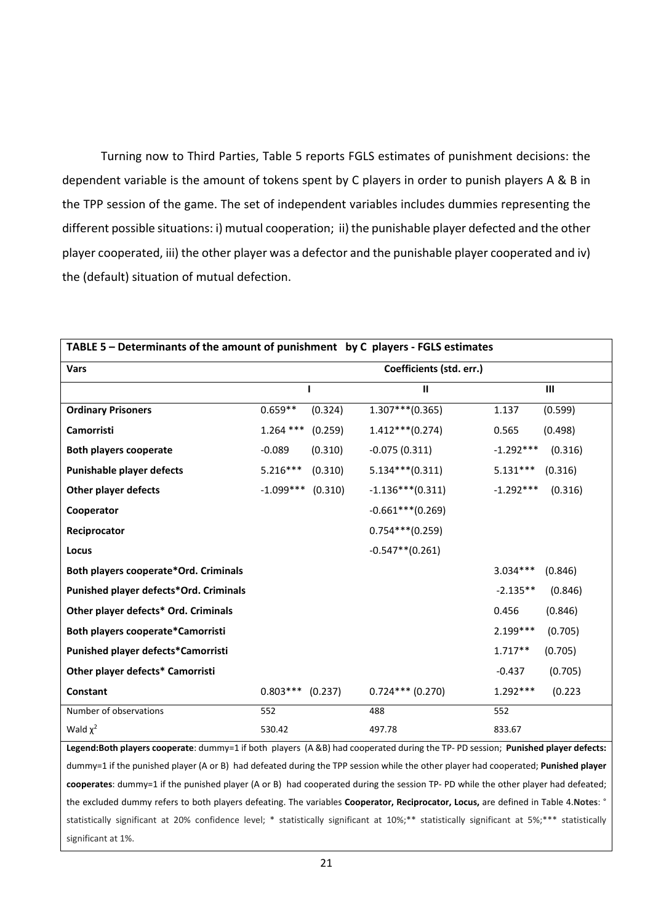Turning now to Third Parties, Table 5 reports FGLS estimates of punishment decisions: the dependent variable is the amount of tokens spent by C players in order to punish players A & B in the TPP session of the game. The set of independent variables includes dummies representing the different possible situations: i) mutual cooperation; ii) the punishable player defected and the other player cooperated, iii) the other player was a defector and the punishable player cooperated and iv) the (default) situation of mutual defection.

| TABLE 5 - Determinants of the amount of punishment by C players - FGLS estimates                           |                          |              |                                             |                                     |                |  |
|------------------------------------------------------------------------------------------------------------|--------------------------|--------------|---------------------------------------------|-------------------------------------|----------------|--|
| <b>Vars</b>                                                                                                | Coefficients (std. err.) |              |                                             |                                     |                |  |
|                                                                                                            |                          | $\mathbf{I}$ | $\mathbf{II}$                               |                                     | $\mathbf{III}$ |  |
| <b>Ordinary Prisoners</b>                                                                                  | $0.659**$                | (0.324)      | $1.307***$ (0.365)                          | 1.137                               | (0.599)        |  |
| Camorristi                                                                                                 | $1.264$ ***              | (0.259)      | $1.412***$ (0.274)                          | 0.565                               | (0.498)        |  |
| <b>Both players cooperate</b>                                                                              | $-0.089$                 | (0.310)      | $-0.075(0.311)$                             | $-1.292***$                         | (0.316)        |  |
| Punishable player defects                                                                                  | $5.216***$               | (0.310)      | $5.134***$ (0.311)                          | $5.131***$                          | (0.316)        |  |
| <b>Other player defects</b>                                                                                | $-1.099***$              | (0.310)      | $-1.136***(0.311)$                          | $-1.292***$                         | (0.316)        |  |
| Cooperator                                                                                                 |                          |              | $-0.661***(0.269)$                          |                                     |                |  |
| Reciprocator                                                                                               |                          |              | $0.754***(0.259)$                           |                                     |                |  |
| Locus                                                                                                      |                          |              | $-0.547**$ (0.261)                          |                                     |                |  |
| Both players cooperate*Ord. Criminals                                                                      |                          |              |                                             | $3.034***$                          | (0.846)        |  |
| Punished player defects*Ord. Criminals                                                                     |                          |              |                                             | $-2.135**$                          | (0.846)        |  |
| Other player defects* Ord. Criminals                                                                       |                          |              |                                             | 0.456                               | (0.846)        |  |
| Both players cooperate*Camorristi                                                                          |                          |              |                                             | 2.199 ***                           | (0.705)        |  |
| Punished player defects*Camorristi                                                                         |                          |              |                                             | $1.717**$                           | (0.705)        |  |
| Other player defects* Camorristi                                                                           |                          |              |                                             | $-0.437$                            | (0.705)        |  |
| Constant                                                                                                   | $0.803***$               | (0.237)      | $0.724***$ (0.270)                          | $1.292***$                          | (0.223)        |  |
| Number of observations                                                                                     | 552                      |              | 488                                         | 552                                 |                |  |
| Wald $\chi^2$<br>$\overline{A}$ . $\overline{A}$ is the set of $\overline{A}$<br>المناسب والمتمار والمناسب | 530.42                   |              | 497.78<br>والمستور ويتحدث والمساوي والمناور | 833.67<br>Proceed with a subsequent |                |  |

**Legend:Both players cooperate**: dummy=1 if both players (A &B) had cooperated during the TP‐ PD session; **Punished player defects:** dummy=1 if the punished player (A or B) had defeated during the TPP session while the other player had cooperated; **Punished player cooperates**: dummy=1 if the punished player (A or B) had cooperated during the session TP‐ PD while the other player had defeated; the excluded dummy refers to both players defeating. The variables **Cooperator, Reciprocator, Locus,** are defined in Table 4.**Notes**: ° statistically significant at 20% confidence level; \* statistically significant at 10%;\*\* statistically significant at 5%;\*\*\* statistically significant at 1%.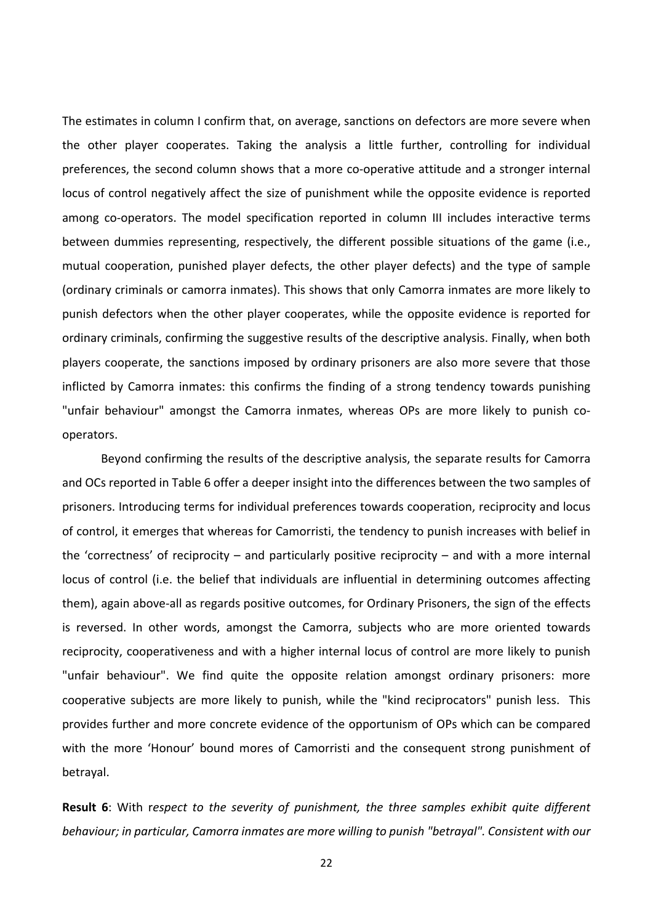The estimates in column I confirm that, on average, sanctions on defectors are more severe when the other player cooperates. Taking the analysis a little further, controlling for individual preferences, the second column shows that a more co-operative attitude and a stronger internal locus of control negatively affect the size of punishment while the opposite evidence is reported among co-operators. The model specification reported in column III includes interactive terms between dummies representing, respectively, the different possible situations of the game (i.e., mutual cooperation, punished player defects, the other player defects) and the type of sample (ordinary criminals or camorra inmates). This shows that only Camorra inmates are more likely to punish defectors when the other player cooperates, while the opposite evidence is reported for ordinary criminals, confirming the suggestive results of the descriptive analysis. Finally, when both players cooperate, the sanctions imposed by ordinary prisoners are also more severe that those inflicted by Camorra inmates: this confirms the finding of a strong tendency towards punishing "unfair behaviour" amongst the Camorra inmates, whereas OPs are more likely to punish co‐ operators.

Beyond confirming the results of the descriptive analysis, the separate results for Camorra and OCs reported in Table 6 offer a deeper insight into the differences between the two samples of prisoners. Introducing terms for individual preferences towards cooperation, reciprocity and locus of control, it emerges that whereas for Camorristi, the tendency to punish increases with belief in the 'correctness' of reciprocity – and particularly positive reciprocity – and with a more internal locus of control (i.e. the belief that individuals are influential in determining outcomes affecting them), again above‐all as regards positive outcomes, for Ordinary Prisoners, the sign of the effects is reversed. In other words, amongst the Camorra, subjects who are more oriented towards reciprocity, cooperativeness and with a higher internal locus of control are more likely to punish "unfair behaviour". We find quite the opposite relation amongst ordinary prisoners: more cooperative subjects are more likely to punish, while the "kind reciprocators" punish less. This provides further and more concrete evidence of the opportunism of OPs which can be compared with the more 'Honour' bound mores of Camorristi and the consequent strong punishment of betrayal.

**Result 6**: With r*espect to the severity of punishment, the three samples exhibit quite different behaviour; in particular, Camorra inmates are more willing to punish "betrayal". Consistent with our*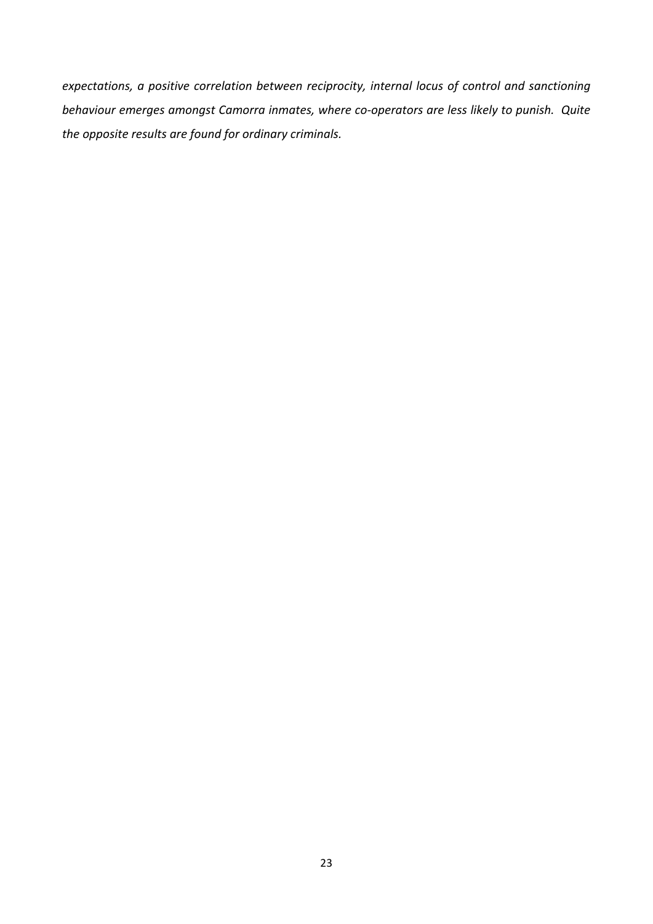*expectations, a positive correlation between reciprocity, internal locus of control and sanctioning behaviour emerges amongst Camorra inmates, where co‐operators are less likely to punish. Quite the opposite results are found for ordinary criminals.*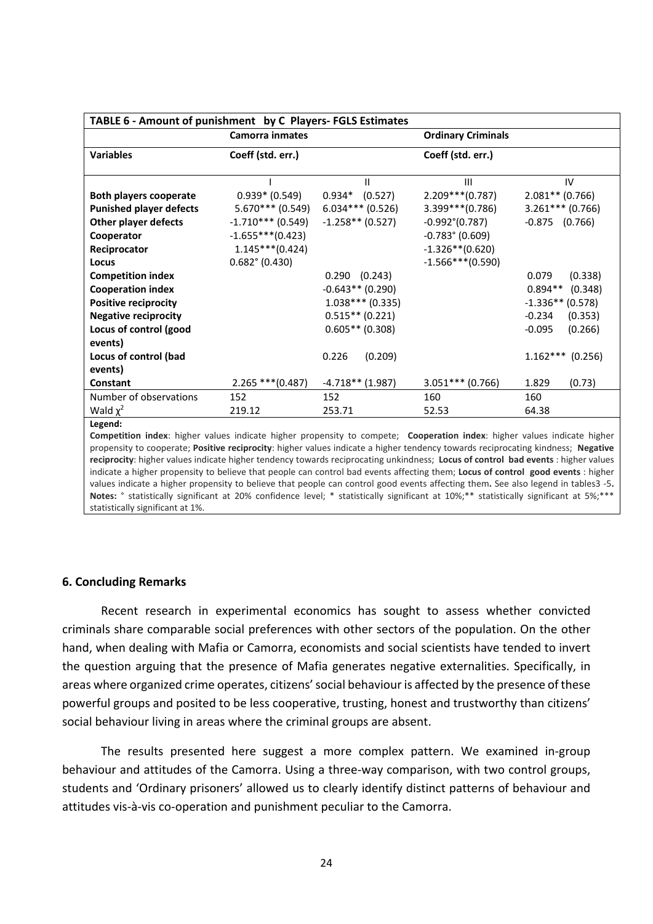| TABLE 6 - Amount of punishment by C Players- FGLS Estimates |                         |                                       |                           |                      |
|-------------------------------------------------------------|-------------------------|---------------------------------------|---------------------------|----------------------|
|                                                             | <b>Camorra inmates</b>  |                                       | <b>Ordinary Criminals</b> |                      |
| <b>Variables</b>                                            | Coeff (std. err.)       |                                       | Coeff (std. err.)         |                      |
|                                                             |                         | $\mathbf{H}$                          | Ш                         | IV                   |
| Both players cooperate                                      | $0.939*(0.549)$         | $0.934*$ (0.527)                      | $2.209***(0.787)$         | $2.081**$ (0.766)    |
| <b>Punished player defects</b>                              |                         | $5.670***$ (0.549) $6.034***$ (0.526) |                           | $3.261***$ (0.766)   |
|                                                             |                         |                                       | $3.399***(0.786)$         |                      |
| Other player defects                                        | $-1.710***$ (0.549)     | $-1.258**$ (0.527)                    | $-0.992^{\circ}(0.787)$   | $-0.875$ $(0.766)$   |
| Cooperator                                                  | $-1.655***(0.423)$      |                                       | $-0.783^{\circ}$ (0.609)  |                      |
| Reciprocator                                                | $1.145***(0.424)$       |                                       | $-1.326**$ (0.620)        |                      |
| Locus                                                       | $0.682^{\circ}$ (0.430) |                                       | $-1.566***(0.590)$        |                      |
| <b>Competition index</b>                                    |                         | $0.290$ $(0.243)$                     |                           | (0.338)<br>0.079     |
| <b>Cooperation index</b>                                    |                         | $-0.643**$ (0.290)                    |                           | $0.894**$<br>(0.348) |
| <b>Positive reciprocity</b>                                 |                         | $1.038***(0.335)$                     |                           | $-1.336**$ (0.578)   |
| <b>Negative reciprocity</b>                                 |                         | $0.515**$ (0.221)                     |                           | $-0.234$<br>(0.353)  |
| Locus of control (good                                      |                         | $0.605**$ (0.308)                     |                           | (0.266)<br>$-0.095$  |
| events)                                                     |                         |                                       |                           |                      |
| Locus of control (bad                                       |                         | 0.226<br>(0.209)                      |                           | $1.162***$ (0.256)   |
| events)                                                     |                         |                                       |                           |                      |
| Constant                                                    | $2.265$ *** $(0.487)$   | $-4.718**$ (1.987)                    | $3.051***$ (0.766)        | 1.829<br>(0.73)      |
| Number of observations                                      | 152                     | 152                                   | 160                       | 160                  |
| Wald $\chi^2$                                               | 219.12                  | 253.71                                | 52.53                     | 64.38                |

**Legend:**

**Competition index**: higher values indicate higher propensity to compete; **Cooperation index**: higher values indicate higher propensity to cooperate; **Positive reciprocity**: higher values indicate a higher tendency towards reciprocating kindness; **Negative reciprocity**: higher values indicate higher tendency towards reciprocating unkindness; **Locus of control bad events** : higher values indicate a higher propensity to believe that people can control bad events affecting them; **Locus of control good events** : higher values indicate a higher propensity to believe that people can control good events affecting them**.** See also legend in tables3 ‐5**. Notes:** ° statistically significant at 20% confidence level; \* statistically significant at 10%;\*\* statistically significant at 5%;\*\*\* statistically significant at 1%.

### **6. Concluding Remarks**

Recent research in experimental economics has sought to assess whether convicted criminals share comparable social preferences with other sectors of the population. On the other hand, when dealing with Mafia or Camorra, economists and social scientists have tended to invert the question arguing that the presence of Mafia generates negative externalities. Specifically, in areas where organized crime operates, citizens'social behaviour is affected by the presence of these powerful groups and posited to be less cooperative, trusting, honest and trustworthy than citizens' social behaviour living in areas where the criminal groups are absent.

The results presented here suggest a more complex pattern. We examined in‐group behaviour and attitudes of the Camorra. Using a three‐way comparison, with two control groups, students and 'Ordinary prisoners' allowed us to clearly identify distinct patterns of behaviour and attitudes vis‐à‐vis co‐operation and punishment peculiar to the Camorra.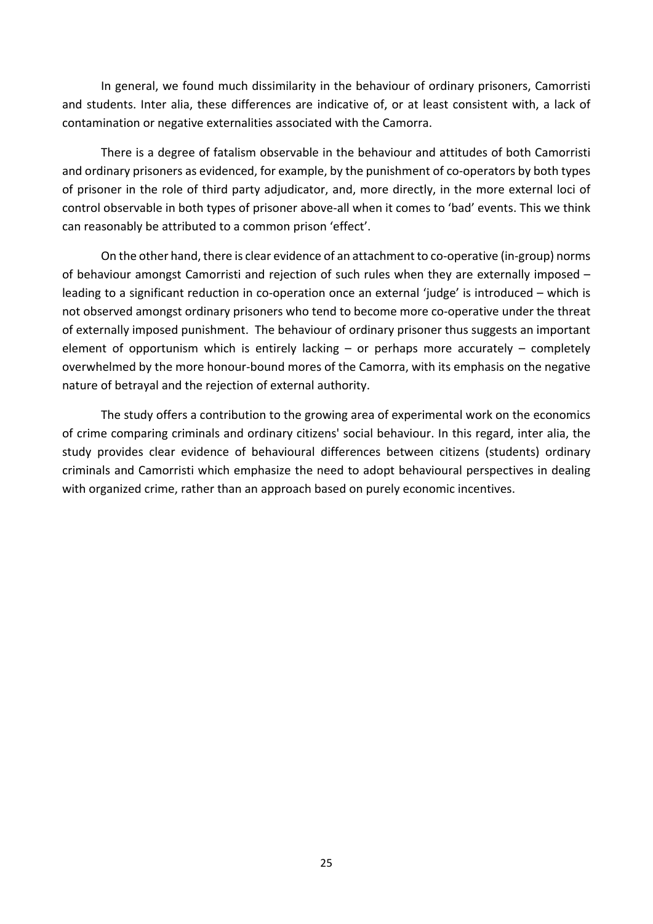In general, we found much dissimilarity in the behaviour of ordinary prisoners, Camorristi and students. Inter alia, these differences are indicative of, or at least consistent with, a lack of contamination or negative externalities associated with the Camorra.

There is a degree of fatalism observable in the behaviour and attitudes of both Camorristi and ordinary prisoners as evidenced, for example, by the punishment of co-operators by both types of prisoner in the role of third party adjudicator, and, more directly, in the more external loci of control observable in both types of prisoner above‐all when it comes to 'bad' events. This we think can reasonably be attributed to a common prison 'effect'.

On the other hand, there is clear evidence of an attachment to co-operative (in-group) norms of behaviour amongst Camorristi and rejection of such rules when they are externally imposed – leading to a significant reduction in co-operation once an external 'judge' is introduced – which is not observed amongst ordinary prisoners who tend to become more co-operative under the threat of externally imposed punishment. The behaviour of ordinary prisoner thus suggests an important element of opportunism which is entirely lacking  $-$  or perhaps more accurately  $-$  completely overwhelmed by the more honour‐bound mores of the Camorra, with its emphasis on the negative nature of betrayal and the rejection of external authority.

The study offers a contribution to the growing area of experimental work on the economics of crime comparing criminals and ordinary citizens' social behaviour. In this regard, inter alia, the study provides clear evidence of behavioural differences between citizens (students) ordinary criminals and Camorristi which emphasize the need to adopt behavioural perspectives in dealing with organized crime, rather than an approach based on purely economic incentives.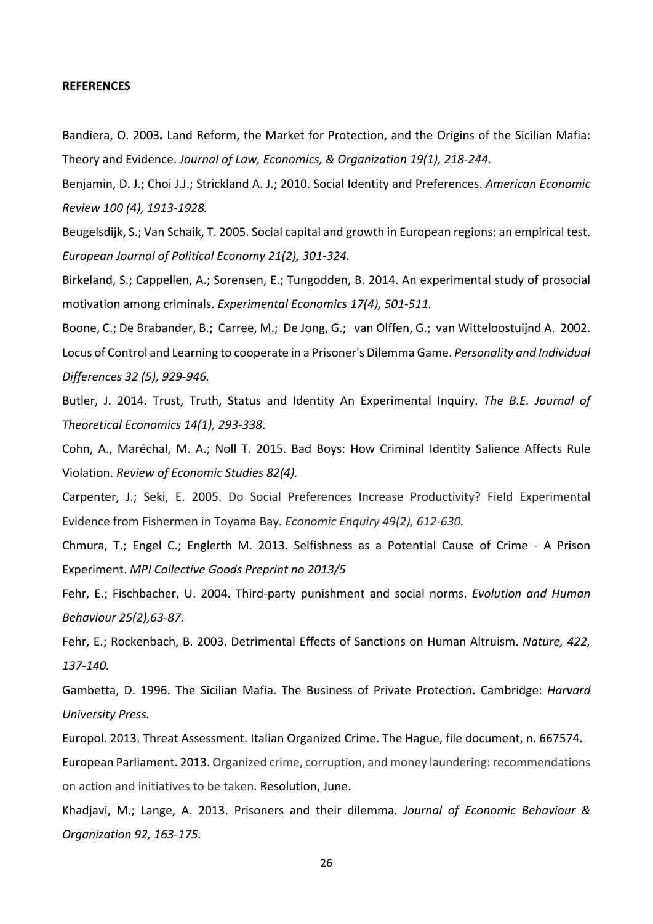#### **REFERENCES**

Bandiera, O. 2003*.* Land Reform, the Market for Protection, and the Origins of the Sicilian Mafia: Theory and Evidence. *Journal of Law, Economics, & Organization 19(1), 218‐244.*

Benjamin, D. J.; Choi J.J.; Strickland A. J.; 2010. Social Identity and Preferences. *American Economic Review 100 (4), 1913‐1928.* 

Beugelsdijk, S.; Van Schaik, T. 2005. Social capital and growth in European regions: an empirical test. *European Journal of Political Economy 21(2), 301‐324.*

Birkeland, S.; Cappellen, A.; Sorensen, E.; Tungodden, B. 2014. An experimental study of prosocial motivation among criminals. *Experimental Economics 17(4), 501‐511.*

Boone, C.; De Brabander, B.; Carree, M.; De Jong, G.; van Olffen, G.; van Witteloostuijnd A. 2002. Locus of Control and Learning to cooperate in a Prisoner's Dilemma Game. *Personality and Individual Differences 32 (5), 929‐946.*

Butler, J. 2014. Trust, Truth, Status and Identity An Experimental Inquiry. *The B.E. Journal of Theoretical Economics 14(1), 293‐338*.

Cohn, A., Maréchal, M. A.; Noll T. 2015. Bad Boys: How Criminal Identity Salience Affects Rule Violation. *Review of Economic Studies 82(4).*

Carpenter, J.; Seki, E. 2005. Do Social Preferences Increase Productivity? Field Experimental Evidence from Fishermen in Toyama Bay*. Economic Enquiry 49(2), 612‐630.*

Chmura, T.; Engel C.; Englerth M. 2013. Selfishness as a Potential Cause of Crime ‐ A Prison Experiment. *MPI Collective Goods Preprint no 2013/5*

Fehr, E.; Fischbacher, U. 2004. Third‐party punishment and social norms. *Evolution and Human Behaviour 25(2),63‐87.*

Fehr, E.; Rockenbach, B. 2003. Detrimental Effects of Sanctions on Human Altruism. *Nature, 422, 137‐140.*

Gambetta, D. 1996. The Sicilian Mafia. The Business of Private Protection. Cambridge: *Harvard University Press.*

Europol. 2013. Threat Assessment. Italian Organized Crime. The Hague, file document, n. 667574.

European Parliament. 2013. Organized crime, corruption, and money laundering: recommendations on action and initiatives to be taken. Resolution, June.

Khadjavi, M.; Lange, A. 2013. Prisoners and their dilemma. *Journal of Economic Behaviour & Organization 92, 163‐175.*